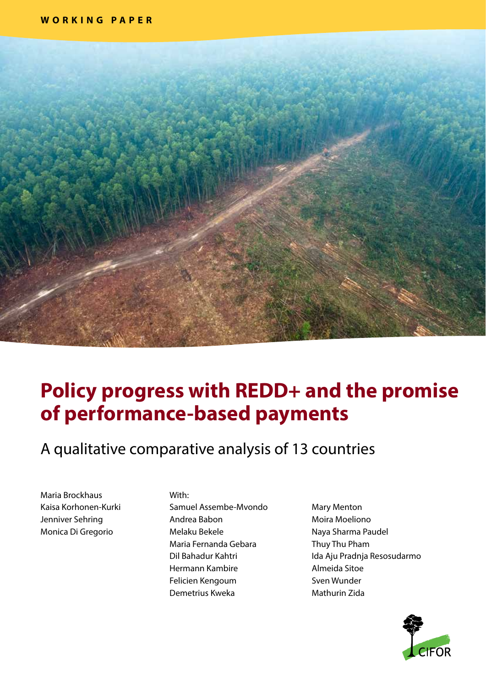

# **Policy progress with REDD+ and the promise of performance-based payments**

A qualitative comparative analysis of 13 countries

Maria Brockhaus Kaisa Korhonen-Kurki Jenniver Sehring Monica Di Gregorio

#### With:

Samuel Assembe-Mvondo Andrea Babon Melaku Bekele Maria Fernanda Gebara Dil Bahadur Kahtri Hermann Kambire Felicien Kengoum Demetrius Kweka

Mary Menton Moira Moeliono Naya Sharma Paudel Thuy Thu Pham Ida Aju Pradnja Resosudarmo Almeida Sitoe Sven Wunder Mathurin Zida

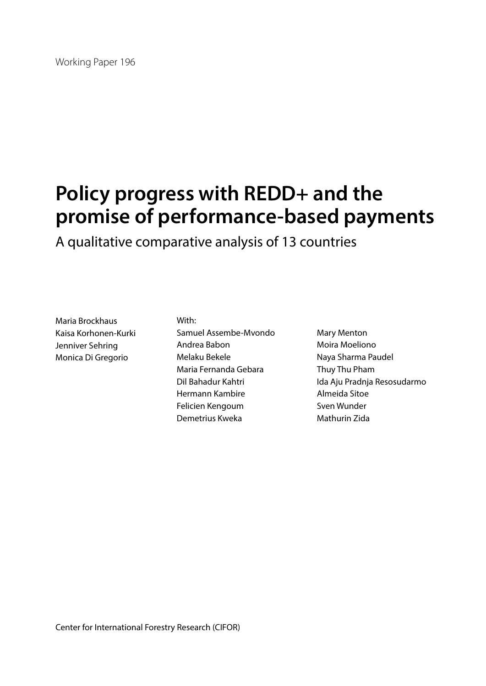# **Policy progress with REDD+ and the promise of performance-based payments**

A qualitative comparative analysis of 13 countries

Maria Brockhaus Kaisa Korhonen-Kurki Jenniver Sehring Monica Di Gregorio

With: Samuel Assembe-Mvondo Andrea Babon Melaku Bekele Maria Fernanda Gebara Dil Bahadur Kahtri Hermann Kambire Felicien Kengoum Demetrius Kweka

Mary Menton Moira Moeliono Naya Sharma Paudel Thuy Thu Pham Ida Aju Pradnja Resosudarmo Almeida Sitoe Sven Wunder Mathurin Zida

Center for International Forestry Research (CIFOR)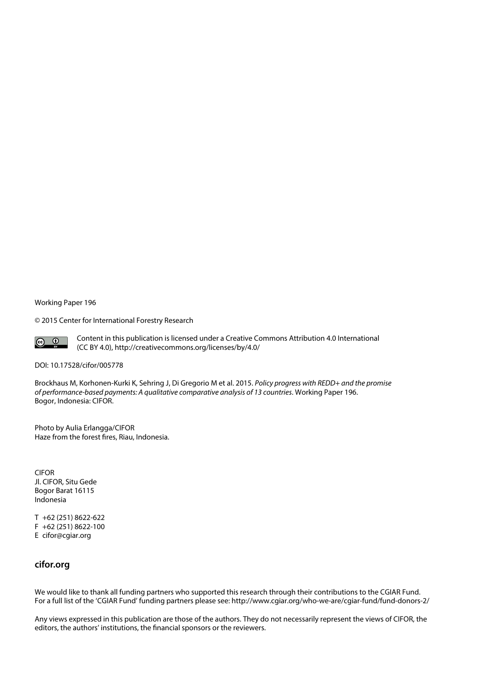Working Paper 196

© 2015 Center for International Forestry Research



Content in this publication is licensed under a Creative Commons Attribution 4.0 International (CC BY 4.0), http://creativecommons.org/licenses/by/4.0/

#### DOI: [10.17528/cifor/005778](http://dx.doi.org/10.17528/cifor/005778)

Brockhaus M, Korhonen-Kurki K, Sehring J, Di Gregorio M et al. 2015. *Policy progress with REDD+ and the promise of performance-based payments: A qualitative comparative analysis of 13 countries*. Working Paper 196. Bogor, Indonesia: CIFOR.

Photo by Aulia Erlangga/CIFOR Haze from the forest fires, Riau, Indonesia.

CIFOR Jl. CIFOR, Situ Gede Bogor Barat 16115 Indonesia

T +62 (251) 8622-622 F +62 (251) 8622-100 E cifor@cgiar.org

### **cifor.org**

We would like to thank all funding partners who supported this research through their contributions to the CGIAR Fund. For a full list of the 'CGIAR Fund' funding partners please see: http://www.cgiar.org/who-we-are/cgiar-fund/fund-donors-2/

Any views expressed in this publication are those of the authors. They do not necessarily represent the views of CIFOR, the editors, the authors' institutions, the financial sponsors or the reviewers.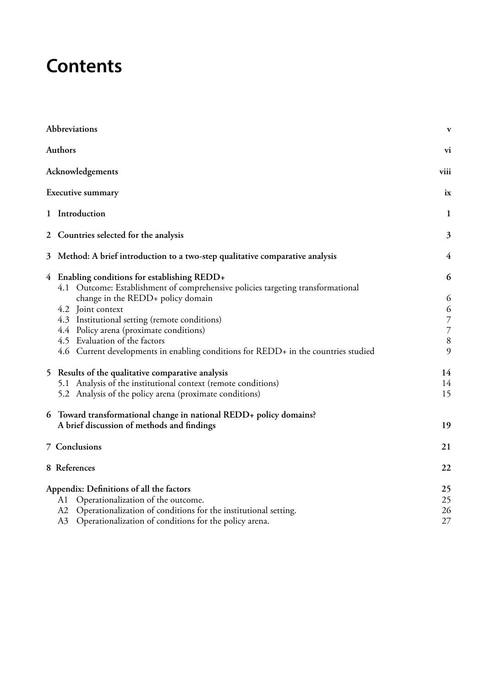# **Contents**

| Abbreviations                                                                                                                   | $\mathbf{v}$   |
|---------------------------------------------------------------------------------------------------------------------------------|----------------|
| <b>Authors</b>                                                                                                                  | vi             |
| Acknowledgements                                                                                                                | viii           |
| Executive summary                                                                                                               | ix             |
| 1 Introduction                                                                                                                  | $\mathbf{1}$   |
| 2 Countries selected for the analysis                                                                                           | 3              |
| 3 <sup>1</sup><br>Method: A brief introduction to a two-step qualitative comparative analysis                                   | 4              |
| 4 Enabling conditions for establishing REDD+<br>4.1 Outcome: Establishment of comprehensive policies targeting transformational | 6              |
| change in the REDD+ policy domain<br>4.2 Joint context                                                                          | 6<br>6         |
| 4.3 Institutional setting (remote conditions)                                                                                   | $\overline{7}$ |
| 4.4 Policy arena (proximate conditions)                                                                                         | $\overline{7}$ |
| 4.5 Evaluation of the factors                                                                                                   | $\, 8$         |
| 4.6 Current developments in enabling conditions for REDD+ in the countries studied                                              | 9              |
| 5 Results of the qualitative comparative analysis                                                                               | 14             |
| 5.1 Analysis of the institutional context (remote conditions)                                                                   | 14             |
| 5.2 Analysis of the policy arena (proximate conditions)                                                                         | 15             |
| 6 Toward transformational change in national REDD+ policy domains?                                                              |                |
| A brief discussion of methods and findings                                                                                      | 19             |
| 7 Conclusions                                                                                                                   | 21             |
| 8 References                                                                                                                    | 22             |
| Appendix: Definitions of all the factors                                                                                        | 25             |
| Operationalization of the outcome.<br>A1                                                                                        | 25             |
| A2<br>Operationalization of conditions for the institutional setting.                                                           | 26             |
| A3<br>Operationalization of conditions for the policy arena.                                                                    | 27             |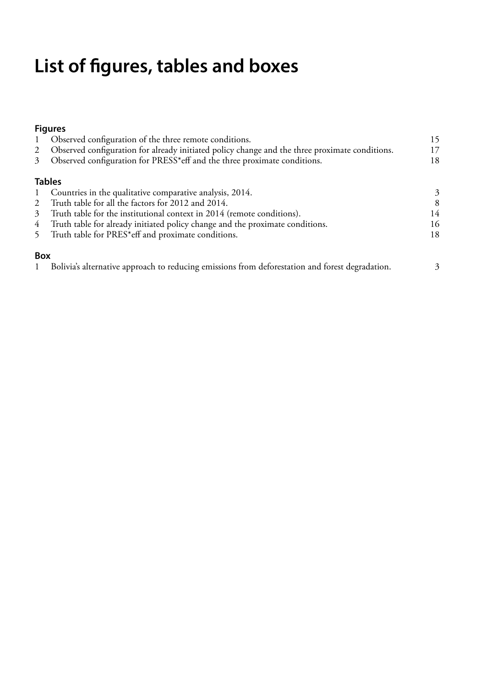# **List of figures, tables and boxes**

# **Figures**

|                | 1 Observed configuration of the three remote conditions.                                         | 15 |
|----------------|--------------------------------------------------------------------------------------------------|----|
|                | 2 Observed configuration for already initiated policy change and the three proximate conditions. | 17 |
| 3 <sup>1</sup> | Observed configuration for PRESS*eff and the three proximate conditions.                         | 18 |
|                | <b>Tables</b>                                                                                    |    |
| $1 \quad$      | Countries in the qualitative comparative analysis, 2014.                                         | 3  |
| 2              | Truth table for all the factors for 2012 and 2014.                                               | 8  |
| 3 <sup>1</sup> | Truth table for the institutional context in 2014 (remote conditions).                           | 14 |
| 4 <sup>1</sup> | Truth table for already initiated policy change and the proximate conditions.                    | 16 |
| 5 <sup>7</sup> | Truth table for PRES*eff and proximate conditions.                                               | 18 |
| <b>Box</b>     |                                                                                                  |    |
| $\mathbf{1}$   | Bolivia's alternative approach to reducing emissions from deforestation and forest degradation.  | 3  |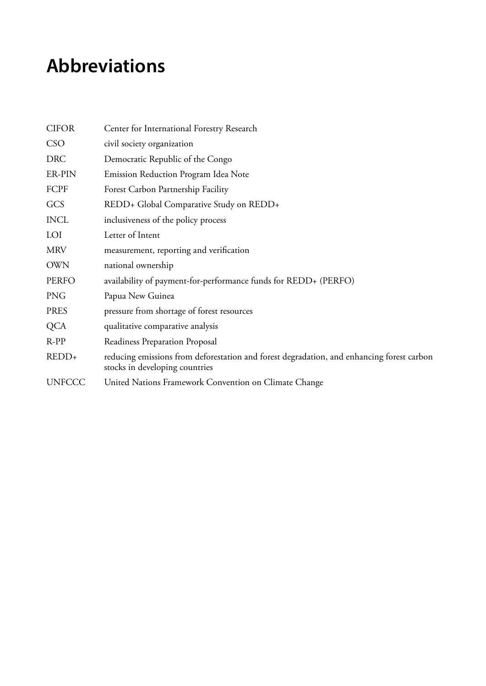# <span id="page-6-0"></span>**Abbreviations**

| <b>CIFOR</b>  | Center for International Forestry Research                                                                                  |
|---------------|-----------------------------------------------------------------------------------------------------------------------------|
| <b>CSO</b>    | civil society organization                                                                                                  |
| <b>DRC</b>    | Democratic Republic of the Congo                                                                                            |
| ER-PIN        | Emission Reduction Program Idea Note                                                                                        |
| FCPF          | Forest Carbon Partnership Facility                                                                                          |
| GCS           | REDD+ Global Comparative Study on REDD+                                                                                     |
| <b>INCL</b>   | inclusiveness of the policy process                                                                                         |
| LOI           | Letter of Intent                                                                                                            |
| <b>MRV</b>    | measurement, reporting and verification                                                                                     |
| <b>OWN</b>    | national ownership                                                                                                          |
| <b>PERFO</b>  | availability of payment-for-performance funds for REDD+ (PERFO)                                                             |
| <b>PNG</b>    | Papua New Guinea                                                                                                            |
| <b>PRES</b>   | pressure from shortage of forest resources                                                                                  |
| <b>QCA</b>    | qualitative comparative analysis                                                                                            |
| $R-PP$        | Readiness Preparation Proposal                                                                                              |
| REDD+         | reducing emissions from deforestation and forest degradation, and enhancing forest carbon<br>stocks in developing countries |
| <b>UNFCCC</b> | United Nations Framework Convention on Climate Change                                                                       |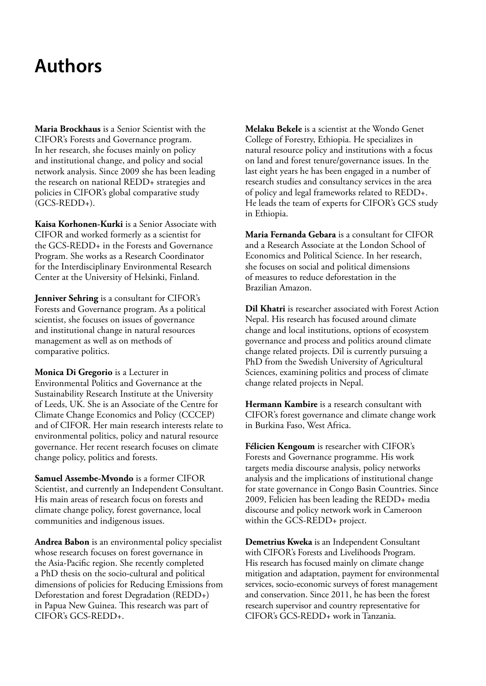# <span id="page-7-0"></span>**Authors**

**Maria Brockhaus** is a Senior Scientist with the CIFOR's Forests and Governance program. In her research, she focuses mainly on policy and institutional change, and policy and social network analysis. Since 2009 she has been leading the research on national REDD+ strategies and policies in CIFOR's global comparative study (GCS-REDD+).

**Kaisa Korhonen-Kurki** is a Senior Associate with CIFOR and worked formerly as a scientist for the GCS-REDD+ in the Forests and Governance Program. She works as a Research Coordinator for the Interdisciplinary Environmental Research Center at the University of Helsinki, Finland.

**Jenniver Sehring** is a consultant for CIFOR's Forests and Governance program. As a political scientist, she focuses on issues of governance and institutional change in natural resources management as well as on methods of comparative politics.

**Monica Di Gregorio** is a Lecturer in Environmental Politics and Governance at the Sustainability Research Institute at the University of Leeds, UK. She is an Associate of the Centre for Climate Change Economics and Policy (CCCEP) and of CIFOR. Her main research interests relate to environmental politics, policy and natural resource governance. Her recent research focuses on climate change policy, politics and forests.

**Samuel Assembe-Mvondo** is a former CIFOR Scientist, and currently an Independent Consultant. His main areas of research focus on forests and climate change policy, forest governance, local communities and indigenous issues.

**Andrea Babon** is an environmental policy specialist whose research focuses on forest governance in the Asia-Pacific region. She recently completed a PhD thesis on the socio-cultural and political dimensions of policies for Reducing Emissions from Deforestation and forest Degradation (REDD+) in Papua New Guinea. This research was part of CIFOR's GCS-REDD+.

**Melaku Bekele** is a scientist at the Wondo Genet College of Forestry, Ethiopia. He specializes in natural resource policy and institutions with a focus on land and forest tenure/governance issues. In the last eight years he has been engaged in a number of research studies and consultancy services in the area of policy and legal frameworks related to REDD+. He leads the team of experts for CIFOR's GCS study in Ethiopia.

**Maria Fernanda Gebara** is a consultant for CIFOR and a Research Associate at the London School of Economics and Political Science. In her research, she focuses on social and political dimensions of measures to reduce deforestation in the Brazilian Amazon.

**Dil Khatri** is researcher associated with Forest Action Nepal. His research has focused around climate change and local institutions, options of ecosystem governance and process and politics around climate change related projects. Dil is currently pursuing a PhD from the Swedish University of Agricultural Sciences, examining politics and process of climate change related projects in Nepal.

**Hermann Kambire** is a research consultant with CIFOR's forest governance and climate change work in Burkina Faso, West Africa.

**Félicien Kengoum** is researcher with CIFOR's Forests and Governance programme. His work targets media discourse analysis, policy networks analysis and the implications of institutional change for state governance in Congo Basin Countries. Since 2009, Felicien has been leading the REDD+ media discourse and policy network work in Cameroon within the GCS-REDD+ project.

**Demetrius Kweka** is an Independent Consultant with CIFOR's Forests and Livelihoods Program. His research has focused mainly on climate change mitigation and adaptation, payment for environmental services, socio-economic surveys of forest management and conservation. Since 2011, he has been the forest research supervisor and country representative for CIFOR's GCS-REDD+ work in Tanzania.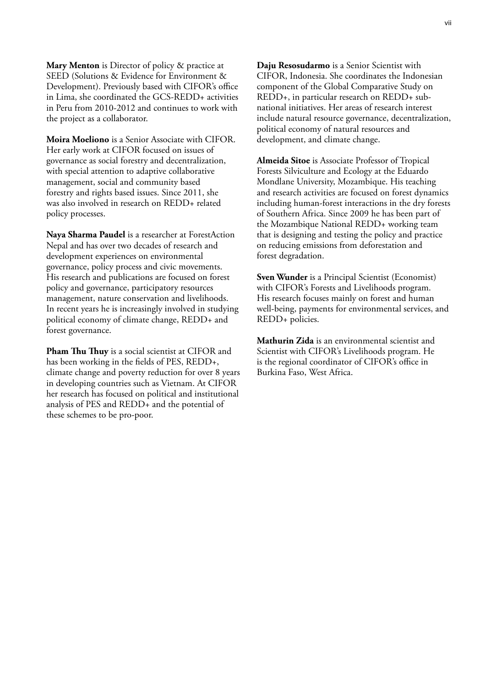**Mary Menton** is Director of policy & practice at SEED (Solutions & Evidence for Environment & Development). Previously based with CIFOR's office in Lima, she coordinated the GCS-REDD+ activities in Peru from 2010-2012 and continues to work with the project as a collaborator.

**Moira Moeliono** is a Senior Associate with CIFOR. Her early work at CIFOR focused on issues of governance as social forestry and decentralization, with special attention to adaptive collaborative management, social and community based forestry and rights based issues. Since 2011, she was also involved in research on REDD+ related policy processes.

**Naya Sharma Paudel** is a researcher at ForestAction Nepal and has over two decades of research and development experiences on environmental governance, policy process and civic movements. His research and publications are focused on forest policy and governance, participatory resources management, nature conservation and livelihoods. In recent years he is increasingly involved in studying political economy of climate change, REDD+ and forest governance.

**Pham Thu Thuy** is a social scientist at CIFOR and has been working in the fields of PES, REDD+, climate change and poverty reduction for over 8 years in developing countries such as Vietnam. At CIFOR her research has focused on political and institutional analysis of PES and REDD+ and the potential of these schemes to be pro-poor.

**Daju Resosudarmo** is a Senior Scientist with CIFOR, Indonesia. She coordinates the Indonesian component of the Global Comparative Study on REDD+, in particular research on REDD+ subnational initiatives. Her areas of research interest include natural resource governance, decentralization, political economy of natural resources and development, and climate change.

**Almeida Sitoe** is Associate Professor of Tropical Forests Silviculture and Ecology at the Eduardo Mondlane University, Mozambique. His teaching and research activities are focused on forest dynamics including human-forest interactions in the dry forests of Southern Africa. Since 2009 he has been part of the Mozambique National REDD+ working team that is designing and testing the policy and practice on reducing emissions from deforestation and forest degradation.

**Sven Wunder** is a Principal Scientist (Economist) with CIFOR's Forests and Livelihoods program. His research focuses mainly on forest and human well-being, payments for environmental services, and REDD+ policies.

**Mathurin Zida** is an environmental scientist and Scientist with CIFOR's Livelihoods program. He is the regional coordinator of CIFOR's office in Burkina Faso, West Africa.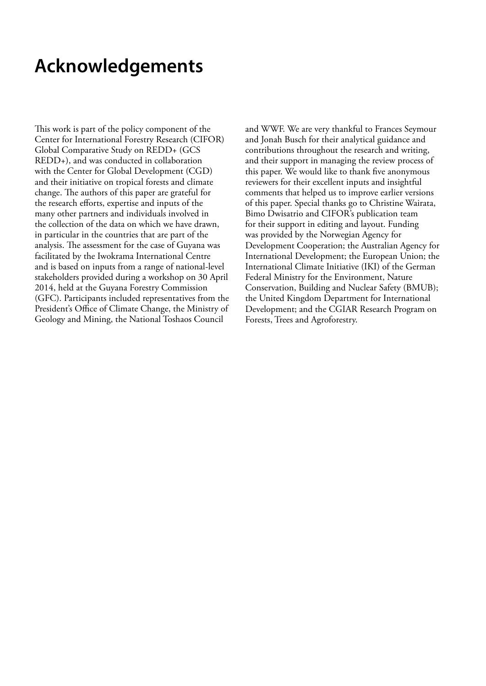# <span id="page-9-0"></span>**Acknowledgements**

This work is part of the policy component of the Center for International Forestry Research (CIFOR) Global Comparative Study on REDD+ (GCS REDD+), and was conducted in collaboration with the Center for Global Development (CGD) and their initiative on tropical forests and climate change. The authors of this paper are grateful for the research efforts, expertise and inputs of the many other partners and individuals involved in the collection of the data on which we have drawn, in particular in the countries that are part of the analysis. The assessment for the case of Guyana was facilitated by the Iwokrama International Centre and is based on inputs from a range of national-level stakeholders provided during a workshop on 30 April 2014, held at the Guyana Forestry Commission (GFC). Participants included representatives from the President's Office of Climate Change, the Ministry of Geology and Mining, the National Toshaos Council

and WWF. We are very thankful to Frances Seymour and Jonah Busch for their analytical guidance and contributions throughout the research and writing, and their support in managing the review process of this paper. We would like to thank five anonymous reviewers for their excellent inputs and insightful comments that helped us to improve earlier versions of this paper. Special thanks go to Christine Wairata, Bimo Dwisatrio and CIFOR's publication team for their support in editing and layout. Funding was provided by the Norwegian Agency for Development Cooperation; the Australian Agency for International Development; the European Union; the International Climate Initiative (IKI) of the German Federal Ministry for the Environment, Nature Conservation, Building and Nuclear Safety (BMUB); the United Kingdom Department for International Development; and the CGIAR Research Program on Forests, Trees and Agroforestry.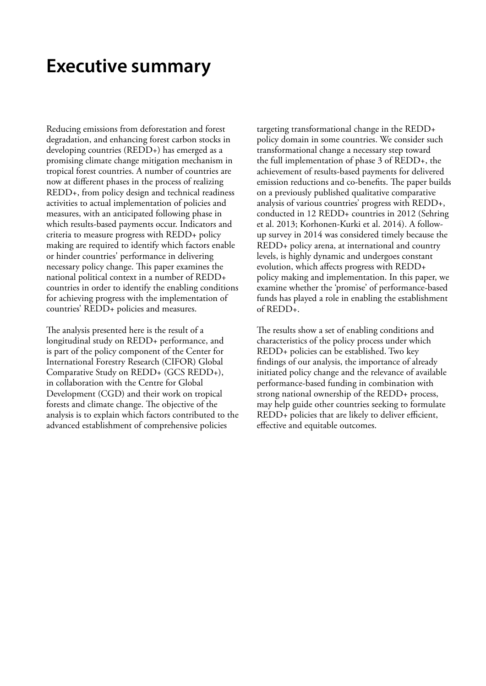# <span id="page-10-0"></span>**Executive summary**

Reducing emissions from deforestation and forest degradation, and enhancing forest carbon stocks in developing countries (REDD+) has emerged as a promising climate change mitigation mechanism in tropical forest countries. A number of countries are now at different phases in the process of realizing REDD+, from policy design and technical readiness activities to actual implementation of policies and measures, with an anticipated following phase in which results-based payments occur. Indicators and criteria to measure progress with REDD+ policy making are required to identify which factors enable or hinder countries' performance in delivering necessary policy change. This paper examines the national political context in a number of REDD+ countries in order to identify the enabling conditions for achieving progress with the implementation of countries' REDD+ policies and measures.

The analysis presented here is the result of a longitudinal study on REDD+ performance, and is part of the policy component of the Center for International Forestry Research (CIFOR) Global Comparative Study on REDD+ (GCS REDD+), in collaboration with the Centre for Global Development (CGD) and their work on tropical forests and climate change. The objective of the analysis is to explain which factors contributed to the advanced establishment of comprehensive policies

targeting transformational change in the REDD+ policy domain in some countries. We consider such transformational change a necessary step toward the full implementation of phase 3 of REDD+, the achievement of results-based payments for delivered emission reductions and co-benefits. The paper builds on a previously published qualitative comparative analysis of various countries' progress with REDD+, conducted in 12 REDD+ countries in 2012 (Sehring et al. 2013; Korhonen-Kurki et al. 2014). A followup survey in 2014 was considered timely because the REDD+ policy arena, at international and country levels, is highly dynamic and undergoes constant evolution, which affects progress with REDD+ policy making and implementation. In this paper, we examine whether the 'promise' of performance-based funds has played a role in enabling the establishment of REDD+.

The results show a set of enabling conditions and characteristics of the policy process under which REDD+ policies can be established. Two key findings of our analysis, the importance of already initiated policy change and the relevance of available performance-based funding in combination with strong national ownership of the REDD+ process, may help guide other countries seeking to formulate REDD+ policies that are likely to deliver efficient, effective and equitable outcomes.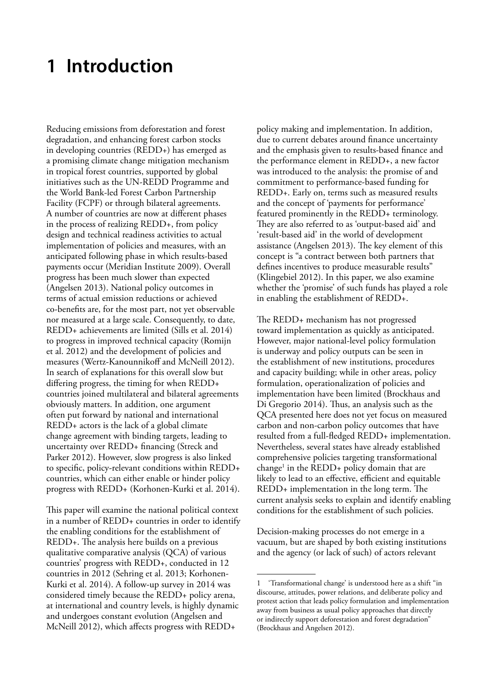# <span id="page-11-0"></span>**1 Introduction**

Reducing emissions from deforestation and forest degradation, and enhancing forest carbon stocks in developing countries (REDD+) has emerged as a promising climate change mitigation mechanism in tropical forest countries, supported by global initiatives such as the UN-REDD Programme and the World Bank-led Forest Carbon Partnership Facility (FCPF) or through bilateral agreements. A number of countries are now at different phases in the process of realizing REDD+, from policy design and technical readiness activities to actual implementation of policies and measures, with an anticipated following phase in which results-based payments occur (Meridian Institute 2009). Overall progress has been much slower than expected (Angelsen 2013). National policy outcomes in terms of actual emission reductions or achieved co-benefits are, for the most part, not yet observable nor measured at a large scale. Consequently, to date, REDD+ achievements are limited (Sills et al. 2014) to progress in improved technical capacity (Romijn et al. 2012) and the development of policies and measures (Wertz-Kanounnikoff and McNeill 2012). In search of explanations for this overall slow but differing progress, the timing for when REDD+ countries joined multilateral and bilateral agreements obviously matters. In addition, one argument often put forward by national and international REDD+ actors is the lack of a global climate change agreement with binding targets, leading to uncertainty over REDD+ financing (Streck and Parker 2012). However, slow progress is also linked to specific, policy-relevant conditions within REDD+ countries, which can either enable or hinder policy progress with REDD+ (Korhonen-Kurki et al. 2014).

This paper will examine the national political context in a number of REDD+ countries in order to identify the enabling conditions for the establishment of REDD+. The analysis here builds on a previous qualitative comparative analysis (QCA) of various countries' progress with REDD+, conducted in 12 countries in 2012 (Sehring et al. 2013; Korhonen-Kurki et al. 2014). A follow-up survey in 2014 was considered timely because the REDD+ policy arena, at international and country levels, is highly dynamic and undergoes constant evolution (Angelsen and McNeill 2012), which affects progress with REDD+

policy making and implementation. In addition, due to current debates around finance uncertainty and the emphasis given to results-based finance and the performance element in REDD+, a new factor was introduced to the analysis: the promise of and commitment to performance-based funding for REDD+. Early on, terms such as measured results and the concept of 'payments for performance' featured prominently in the REDD+ terminology. They are also referred to as 'output-based aid' and 'result-based aid' in the world of development assistance (Angelsen 2013). The key element of this concept is "a contract between both partners that defines incentives to produce measurable results" (Klingebiel 2012). In this paper, we also examine whether the 'promise' of such funds has played a role in enabling the establishment of REDD+.

The REDD+ mechanism has not progressed toward implementation as quickly as anticipated. However, major national-level policy formulation is underway and policy outputs can be seen in the establishment of new institutions, procedures and capacity building; while in other areas, policy formulation, operationalization of policies and implementation have been limited (Brockhaus and Di Gregorio 2014). Thus, an analysis such as the QCA presented here does not yet focus on measured carbon and non-carbon policy outcomes that have resulted from a full-fledged REDD+ implementation. Nevertheless, several states have already established comprehensive policies targeting transformational change<sup>1</sup> in the REDD+ policy domain that are likely to lead to an effective, efficient and equitable REDD+ implementation in the long term. The current analysis seeks to explain and identify enabling conditions for the establishment of such policies.

Decision-making processes do not emerge in a vacuum, but are shaped by both existing institutions and the agency (or lack of such) of actors relevant

<sup>1</sup> 'Transformational change' is understood here as a shift "in discourse, attitudes, power relations, and deliberate policy and protest action that leads policy formulation and implementation away from business as usual policy approaches that directly or indirectly support deforestation and forest degradation" (Brockhaus and Angelsen 2012).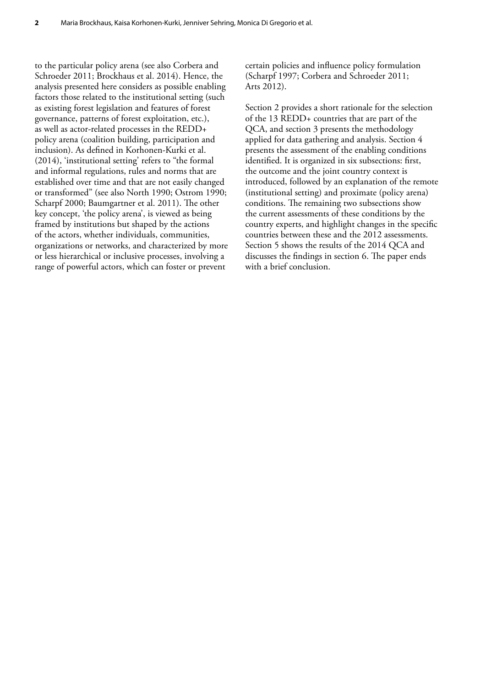to the particular policy arena (see also Corbera and Schroeder 2011; Brockhaus et al. 2014). Hence, the analysis presented here considers as possible enabling factors those related to the institutional setting (such as existing forest legislation and features of forest governance, patterns of forest exploitation, etc.), as well as actor-related processes in the REDD+ policy arena (coalition building, participation and inclusion). As defined in Korhonen-Kurki et al. (2014), 'institutional setting' refers to "the formal and informal regulations, rules and norms that are established over time and that are not easily changed or transformed" (see also North 1990; Ostrom 1990; Scharpf 2000; Baumgartner et al. 2011). The other key concept, 'the policy arena', is viewed as being framed by institutions but shaped by the actions of the actors, whether individuals, communities, organizations or networks, and characterized by more or less hierarchical or inclusive processes, involving a range of powerful actors, which can foster or prevent

certain policies and influence policy formulation (Scharpf 1997; Corbera and Schroeder 2011; Arts 2012).

Section 2 provides a short rationale for the selection of the 13 REDD+ countries that are part of the QCA, and section 3 presents the methodology applied for data gathering and analysis. Section 4 presents the assessment of the enabling conditions identified. It is organized in six subsections: first, the outcome and the joint country context is introduced, followed by an explanation of the remote (institutional setting) and proximate (policy arena) conditions. The remaining two subsections show the current assessments of these conditions by the country experts, and highlight changes in the specific countries between these and the 2012 assessments. Section 5 shows the results of the 2014 QCA and discusses the findings in section 6. The paper ends with a brief conclusion.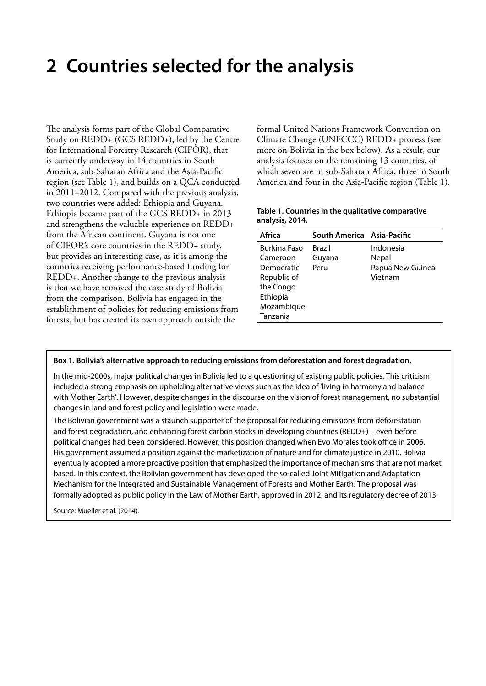# <span id="page-13-0"></span>**2 Countries selected for the analysis**

The analysis forms part of the Global Comparative Study on REDD+ (GCS REDD+), led by the Centre for International Forestry Research (CIFOR), that is currently underway in 14 countries in South America, sub-Saharan Africa and the Asia-Pacific region (see Table 1), and builds on a QCA conducted in 2011–2012. Compared with the previous analysis, two countries were added: Ethiopia and Guyana. Ethiopia became part of the GCS REDD+ in 2013 and strengthens the valuable experience on REDD+ from the African continent. Guyana is not one of CIFOR's core countries in the REDD+ study, but provides an interesting case, as it is among the countries receiving performance-based funding for REDD+. Another change to the previous analysis is that we have removed the case study of Bolivia from the comparison. Bolivia has engaged in the establishment of policies for reducing emissions from forests, but has created its own approach outside the

formal United Nations Framework Convention on Climate Change (UNFCCC) REDD+ process (see more on Bolivia in the box below). As a result, our analysis focuses on the remaining 13 countries, of which seven are in sub-Saharan Africa, three in South America and four in the Asia-Pacific region (Table 1).

### **Table 1. Countries in the qualitative comparative analysis, 2014.**

| Africa       | South America Asia-Pacific |                  |
|--------------|----------------------------|------------------|
| Burkina Faso | Brazil                     | Indonesia        |
| Cameroon     | Guyana                     | Nepal            |
| Democratic   | Peru                       | Papua New Guinea |
| Republic of  |                            | Vietnam          |
| the Congo    |                            |                  |
| Ethiopia     |                            |                  |
| Mozambique   |                            |                  |
| Tanzania     |                            |                  |
|              |                            |                  |

### **Box 1. Bolivia's alternative approach to reducing emissions from deforestation and forest degradation.**

In the mid-2000s, major political changes in Bolivia led to a questioning of existing public policies. This criticism included a strong emphasis on upholding alternative views such as the idea of 'living in harmony and balance with Mother Earth'. However, despite changes in the discourse on the vision of forest management, no substantial changes in land and forest policy and legislation were made.

The Bolivian government was a staunch supporter of the proposal for reducing emissions from deforestation and forest degradation, and enhancing forest carbon stocks in developing countries (REDD+) – even before political changes had been considered. However, this position changed when Evo Morales took office in 2006. His government assumed a position against the marketization of nature and for climate justice in 2010. Bolivia eventually adopted a more proactive position that emphasized the importance of mechanisms that are not market based. In this context, the Bolivian government has developed the so-called Joint Mitigation and Adaptation Mechanism for the Integrated and Sustainable Management of Forests and Mother Earth. The proposal was formally adopted as public policy in the Law of Mother Earth, approved in 2012, and its regulatory decree of 2013.

Source: Mueller et al. (2014).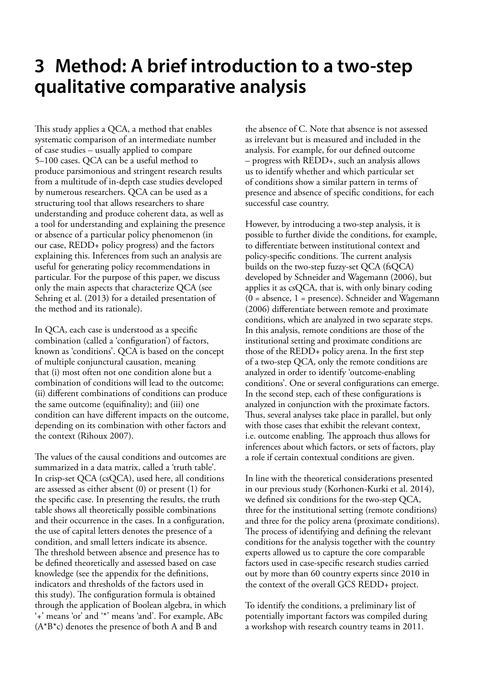# <span id="page-14-0"></span>**3 Method: A brief introduction to a two-step qualitative comparative analysis**

This study applies a QCA, a method that enables systematic comparison of an intermediate number of case studies – usually applied to compare 5–100 cases. QCA can be a useful method to produce parsimonious and stringent research results from a multitude of in-depth case studies developed by numerous researchers. QCA can be used as a structuring tool that allows researchers to share understanding and produce coherent data, as well as a tool for understanding and explaining the presence or absence of a particular policy phenomenon (in our case, REDD+ policy progress) and the factors explaining this. Inferences from such an analysis are useful for generating policy recommendations in particular. For the purpose of this paper, we discuss only the main aspects that characterize QCA (see Sehring et al. (2013) for a detailed presentation of the method and its rationale).

In QCA, each case is understood as a specific combination (called a 'configuration') of factors, known as 'conditions'. QCA is based on the concept of multiple conjunctural causation, meaning that (i) most often not one condition alone but a combination of conditions will lead to the outcome; (ii) different combinations of conditions can produce the same outcome (equifinality); and (iii) one condition can have different impacts on the outcome, depending on its combination with other factors and the context (Rihoux 2007).

The values of the causal conditions and outcomes are summarized in a data matrix, called a 'truth table'. In crisp-set QCA (csQCA), used here, all conditions are assessed as either absent (0) or present (1) for the specific case. In presenting the results, the truth table shows all theoretically possible combinations and their occurrence in the cases. In a configuration, the use of capital letters denotes the presence of a condition, and small letters indicate its absence. The threshold between absence and presence has to be defined theoretically and assessed based on case knowledge (see the appendix for the definitions, indicators and thresholds of the factors used in this study). The configuration formula is obtained through the application of Boolean algebra, in which '+' means 'or' and '\*' means 'and'. For example, ABc (A\*B\*c) denotes the presence of both A and B and

the absence of C. Note that absence is not assessed as irrelevant but is measured and included in the analysis. For example, for our defined outcome – progress with REDD+, such an analysis allows us to identify whether and which particular set of conditions show a similar pattern in terms of presence and absence of specific conditions, for each successful case country.

However, by introducing a two-step analysis, it is possible to further divide the conditions, for example, to differentiate between institutional context and policy-specific conditions. The current analysis builds on the two-step fuzzy-set QCA (fsQCA) developed by Schneider and Wagemann (2006), but applies it as csQCA, that is, with only binary coding  $(0 = absence, 1 = presence).$  Schneider and Wagemann (2006) differentiate between remote and proximate conditions, which are analyzed in two separate steps. In this analysis, remote conditions are those of the institutional setting and proximate conditions are those of the REDD+ policy arena. In the first step of a two-step QCA, only the remote conditions are analyzed in order to identify 'outcome-enabling conditions'. One or several configurations can emerge. In the second step, each of these configurations is analyzed in conjunction with the proximate factors. Thus, several analyses take place in parallel, but only with those cases that exhibit the relevant context, i.e. outcome enabling. The approach thus allows for inferences about which factors, or sets of factors, play a role if certain contextual conditions are given.

In line with the theoretical considerations presented in our previous study (Korhonen-Kurki et al. 2014), we defined six conditions for the two-step QCA, three for the institutional setting (remote conditions) and three for the policy arena (proximate conditions). The process of identifying and defining the relevant conditions for the analysis together with the country experts allowed us to capture the core comparable factors used in case-specific research studies carried out by more than 60 country experts since 2010 in the context of the overall GCS REDD+ project.

To identify the conditions, a preliminary list of potentially important factors was compiled during a workshop with research country teams in 2011.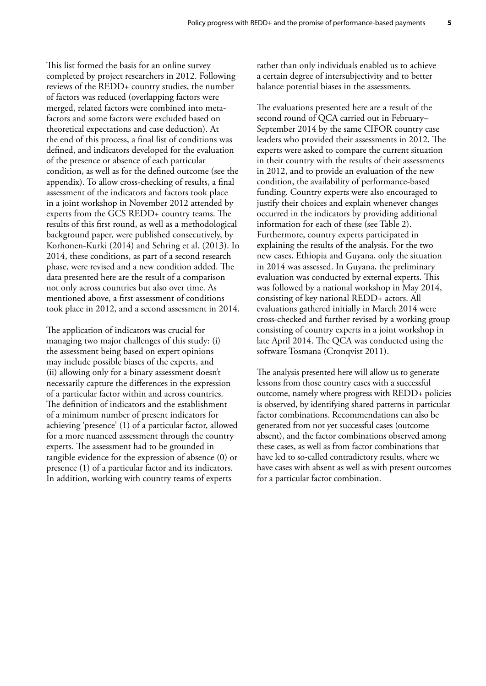This list formed the basis for an online survey completed by project researchers in 2012. Following reviews of the REDD+ country studies, the number of factors was reduced (overlapping factors were merged, related factors were combined into metafactors and some factors were excluded based on theoretical expectations and case deduction). At the end of this process, a final list of conditions was defined, and indicators developed for the evaluation of the presence or absence of each particular condition, as well as for the defined outcome (see the appendix). To allow cross-checking of results, a final assessment of the indicators and factors took place in a joint workshop in November 2012 attended by experts from the GCS REDD+ country teams. The results of this first round, as well as a methodological background paper, were published consecutively, by Korhonen-Kurki (2014) and Sehring et al. (2013). In 2014, these conditions, as part of a second research phase, were revised and a new condition added. The data presented here are the result of a comparison not only across countries but also over time. As mentioned above, a first assessment of conditions took place in 2012, and a second assessment in 2014.

The application of indicators was crucial for managing two major challenges of this study: (i) the assessment being based on expert opinions may include possible biases of the experts, and (ii) allowing only for a binary assessment doesn't necessarily capture the differences in the expression of a particular factor within and across countries. The definition of indicators and the establishment of a minimum number of present indicators for achieving 'presence' (1) of a particular factor, allowed for a more nuanced assessment through the country experts. The assessment had to be grounded in tangible evidence for the expression of absence (0) or presence (1) of a particular factor and its indicators. In addition, working with country teams of experts

rather than only individuals enabled us to achieve a certain degree of intersubjectivity and to better balance potential biases in the assessments.

The evaluations presented here are a result of the second round of QCA carried out in February– September 2014 by the same CIFOR country case leaders who provided their assessments in 2012. The experts were asked to compare the current situation in their country with the results of their assessments in 2012, and to provide an evaluation of the new condition, the availability of performance-based funding. Country experts were also encouraged to justify their choices and explain whenever changes occurred in the indicators by providing additional information for each of these (see Table 2). Furthermore, country experts participated in explaining the results of the analysis. For the two new cases, Ethiopia and Guyana, only the situation in 2014 was assessed. In Guyana, the preliminary evaluation was conducted by external experts. This was followed by a national workshop in May 2014, consisting of key national REDD+ actors. All evaluations gathered initially in March 2014 were cross-checked and further revised by a working group consisting of country experts in a joint workshop in late April 2014. The QCA was conducted using the software Tosmana (Cronqvist 2011).

The analysis presented here will allow us to generate lessons from those country cases with a successful outcome, namely where progress with REDD+ policies is observed, by identifying shared patterns in particular factor combinations. Recommendations can also be generated from not yet successful cases (outcome absent), and the factor combinations observed among these cases, as well as from factor combinations that have led to so-called contradictory results, where we have cases with absent as well as with present outcomes for a particular factor combination.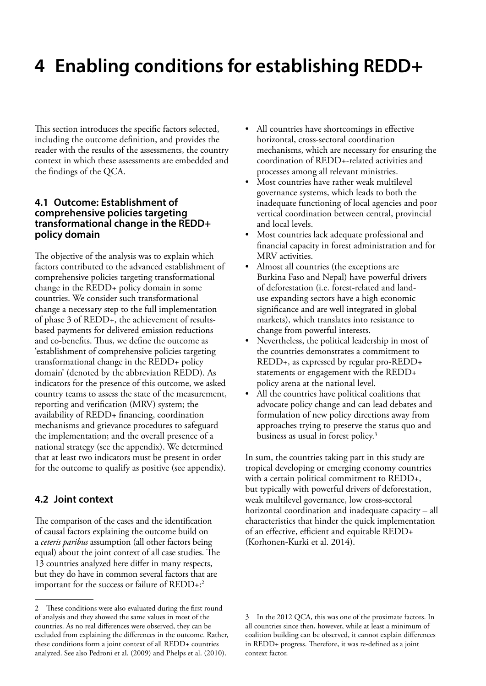# <span id="page-16-0"></span>**4 Enabling conditions for establishing REDD+**

This section introduces the specific factors selected, including the outcome definition, and provides the reader with the results of the assessments, the country context in which these assessments are embedded and the findings of the QCA.

### **4.1 Outcome: Establishment of comprehensive policies targeting transformational change in the REDD+ policy domain**

The objective of the analysis was to explain which factors contributed to the advanced establishment of comprehensive policies targeting transformational change in the REDD+ policy domain in some countries. We consider such transformational change a necessary step to the full implementation of phase 3 of REDD+, the achievement of resultsbased payments for delivered emission reductions and co-benefits. Thus, we define the outcome as 'establishment of comprehensive policies targeting transformational change in the REDD+ policy domain' (denoted by the abbreviation REDD). As indicators for the presence of this outcome, we asked country teams to assess the state of the measurement, reporting and verification (MRV) system; the availability of REDD+ financing, coordination mechanisms and grievance procedures to safeguard the implementation; and the overall presence of a national strategy (see the appendix). We determined that at least two indicators must be present in order for the outcome to qualify as positive (see appendix).

# **4.2 Joint context**

The comparison of the cases and the identification of causal factors explaining the outcome build on a *ceteris paribus* assumption (all other factors being equal) about the joint context of all case studies. The 13 countries analyzed here differ in many respects, but they do have in common several factors that are important for the success or failure of REDD+:2

- All countries have shortcomings in effective horizontal, cross-sectoral coordination mechanisms, which are necessary for ensuring the coordination of REDD+-related activities and processes among all relevant ministries.
- Most countries have rather weak multilevel governance systems, which leads to both the inadequate functioning of local agencies and poor vertical coordination between central, provincial and local levels.
- Most countries lack adequate professional and financial capacity in forest administration and for MRV activities.
- Almost all countries (the exceptions are Burkina Faso and Nepal) have powerful drivers of deforestation (i.e. forest-related and landuse expanding sectors have a high economic significance and are well integrated in global markets), which translates into resistance to change from powerful interests.
- Nevertheless, the political leadership in most of the countries demonstrates a commitment to REDD+, as expressed by regular pro-REDD+ statements or engagement with the REDD+ policy arena at the national level.
- All the countries have political coalitions that advocate policy change and can lead debates and formulation of new policy directions away from approaches trying to preserve the status quo and business as usual in forest policy.3

In sum, the countries taking part in this study are tropical developing or emerging economy countries with a certain political commitment to REDD+, but typically with powerful drivers of deforestation, weak multilevel governance, low cross-sectoral horizontal coordination and inadequate capacity – all characteristics that hinder the quick implementation of an effective, efficient and equitable REDD+ (Korhonen-Kurki et al. 2014).

<sup>2</sup> These conditions were also evaluated during the first round of analysis and they showed the same values in most of the countries. As no real differences were observed, they can be excluded from explaining the differences in the outcome. Rather, these conditions form a joint context of all REDD+ countries analyzed. See also Pedroni et al. (2009) and Phelps et al. (2010).

<sup>3</sup> In the 2012 QCA, this was one of the proximate factors. In all countries since then, however, while at least a minimum of coalition building can be observed, it cannot explain differences in REDD+ progress. Therefore, it was re-defined as a joint context factor.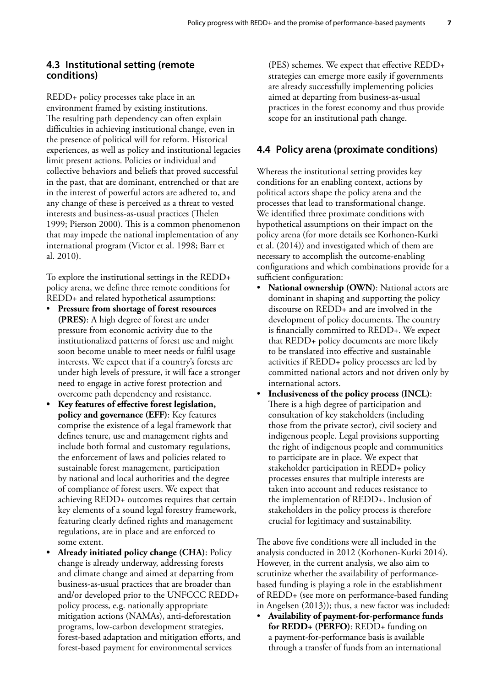### <span id="page-17-0"></span>**4.3 Institutional setting (remote conditions)**

REDD+ policy processes take place in an environment framed by existing institutions. The resulting path dependency can often explain difficulties in achieving institutional change, even in the presence of political will for reform. Historical experiences, as well as policy and institutional legacies limit present actions. Policies or individual and collective behaviors and beliefs that proved successful in the past, that are dominant, entrenched or that are in the interest of powerful actors are adhered to, and any change of these is perceived as a threat to vested interests and business-as-usual practices (Thelen 1999; Pierson 2000). This is a common phenomenon that may impede the national implementation of any international program (Victor et al. 1998; Barr et al. 2010).

To explore the institutional settings in the REDD+ policy arena, we define three remote conditions for REDD+ and related hypothetical assumptions:

- Pressure from shortage of forest resources **(PRES)**: A high degree of forest are under pressure from economic activity due to the institutionalized patterns of forest use and might soon become unable to meet needs or fulfil usage interests. We expect that if a country's forests are under high levels of pressure, it will face a stronger need to engage in active forest protection and overcome path dependency and resistance.
- **• Key features of effective forest legislation, policy and governance (EFF)**: Key features comprise the existence of a legal framework that defines tenure, use and management rights and include both formal and customary regulations, the enforcement of laws and policies related to sustainable forest management, participation by national and local authorities and the degree of compliance of forest users. We expect that achieving REDD+ outcomes requires that certain key elements of a sound legal forestry framework, featuring clearly defined rights and management regulations, are in place and are enforced to some extent.
- **• Already initiated policy change (CHA)**: Policy change is already underway, addressing forests and climate change and aimed at departing from business-as-usual practices that are broader than and/or developed prior to the UNFCCC REDD+ policy process, e.g. nationally appropriate mitigation actions (NAMAs), anti-deforestation programs, low-carbon development strategies, forest-based adaptation and mitigation efforts, and forest-based payment for environmental services

(PES) schemes. We expect that effective REDD+ strategies can emerge more easily if governments are already successfully implementing policies aimed at departing from business-as-usual practices in the forest economy and thus provide scope for an institutional path change.

### **4.4 Policy arena (proximate conditions)**

Whereas the institutional setting provides key conditions for an enabling context, actions by political actors shape the policy arena and the processes that lead to transformational change. We identified three proximate conditions with hypothetical assumptions on their impact on the policy arena (for more details see Korhonen-Kurki et al. (2014)) and investigated which of them are necessary to accomplish the outcome-enabling configurations and which combinations provide for a sufficient configuration:

- National ownership (OWN): National actors are dominant in shaping and supporting the policy discourse on REDD+ and are involved in the development of policy documents. The country is financially committed to REDD+. We expect that REDD+ policy documents are more likely to be translated into effective and sustainable activities if REDD+ policy processes are led by committed national actors and not driven only by international actors.
- Inclusiveness of the policy process (INCL): There is a high degree of participation and consultation of key stakeholders (including those from the private sector), civil society and indigenous people. Legal provisions supporting the right of indigenous people and communities to participate are in place. We expect that stakeholder participation in REDD+ policy processes ensures that multiple interests are taken into account and reduces resistance to the implementation of REDD+. Inclusion of stakeholders in the policy process is therefore crucial for legitimacy and sustainability.

The above five conditions were all included in the analysis conducted in 2012 (Korhonen-Kurki 2014). However, in the current analysis, we also aim to scrutinize whether the availability of performancebased funding is playing a role in the establishment of REDD+ (see more on performance-based funding in Angelsen (2013)); thus, a new factor was included:

• **Availability of payment-for-performance funds for REDD+ (PERFO)**: REDD+ funding on a payment-for-performance basis is available through a transfer of funds from an international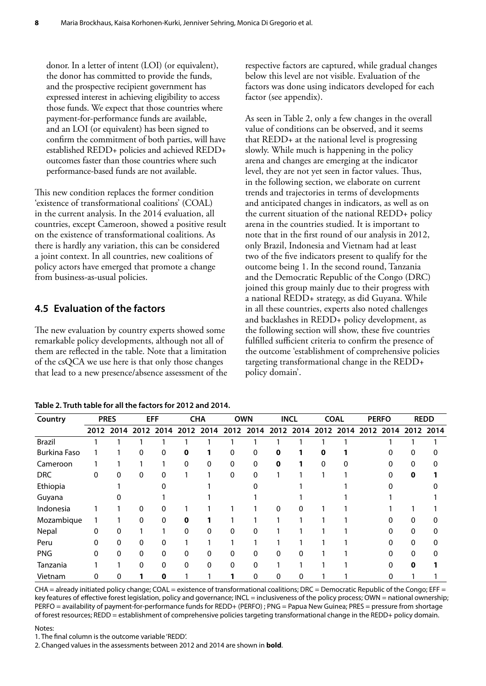<span id="page-18-0"></span>donor. In a letter of intent (LOI) (or equivalent), the donor has committed to provide the funds, and the prospective recipient government has expressed interest in achieving eligibility to access those funds. We expect that those countries where payment-for-performance funds are available, and an LOI (or equivalent) has been signed to confirm the commitment of both parties, will have established REDD+ policies and achieved REDD+ outcomes faster than those countries where such performance-based funds are not available.

This new condition replaces the former condition 'existence of transformational coalitions' (COAL) in the current analysis. In the 2014 evaluation, all countries, except Cameroon, showed a positive result on the existence of transformational coalitions. As there is hardly any variation, this can be considered a joint context. In all countries, new coalitions of policy actors have emerged that promote a change from business-as-usual policies.

# **4.5 Evaluation of the factors**

The new evaluation by country experts showed some remarkable policy developments, although not all of them are reflected in the table. Note that a limitation of the csQCA we use here is that only those changes that lead to a new presence/absence assessment of the

| Table 2. Truth table for all the factors for 2012 and 2014. |
|-------------------------------------------------------------|
|-------------------------------------------------------------|

respective factors are captured, while gradual changes below this level are not visible. Evaluation of the factors was done using indicators developed for each factor (see appendix).

As seen in Table 2, only a few changes in the overall value of conditions can be observed, and it seems that REDD+ at the national level is progressing slowly. While much is happening in the policy arena and changes are emerging at the indicator level, they are not yet seen in factor values. Thus, in the following section, we elaborate on current trends and trajectories in terms of developments and anticipated changes in indicators, as well as on the current situation of the national REDD+ policy arena in the countries studied. It is important to note that in the first round of our analysis in 2012, only Brazil, Indonesia and Vietnam had at least two of the five indicators present to qualify for the outcome being 1. In the second round, Tanzania and the Democratic Republic of the Congo (DRC) joined this group mainly due to their progress with a national REDD+ strategy, as did Guyana. While in all these countries, experts also noted challenges and backlashes in REDD+ policy development, as the following section will show, these five countries fulfilled sufficient criteria to confirm the presence of the outcome 'establishment of comprehensive policies targeting transformational change in the REDD+ policy domain'.

| Country             |   | <b>PRES</b> |              | <b>EFF</b>   |              | <b>CHA</b>  | <b>OWN</b> |      |      | <b>INCL</b> | <b>COAL</b> |      |           | <b>PERFO</b> |             | <b>REDD</b> |
|---------------------|---|-------------|--------------|--------------|--------------|-------------|------------|------|------|-------------|-------------|------|-----------|--------------|-------------|-------------|
|                     |   | 2012 2014   |              | 2012 2014    | 2012         | 2014        | 2012       | 2014 | 2012 | 2014        | 2012        | 2014 | 2012 2014 |              | 2012        | 2014        |
| <b>Brazil</b>       |   |             |              |              |              |             |            |      |      |             |             |      |           |              |             |             |
| <b>Burkina Faso</b> |   |             | $\mathbf{0}$ | 0            | $\mathbf 0$  | 1           | 0          | 0    | 0    |             | 0           |      |           |              | 0           |             |
| Cameroon            |   |             |              |              | 0            | 0           | 0          | 0    | 0    |             | 0           |      |           |              | 0           |             |
| <b>DRC</b>          | 0 | 0           | 0            | $\Omega$     |              |             | 0          | 0    |      |             |             |      |           | O            | $\mathbf 0$ |             |
| Ethiopia            |   |             |              |              |              |             |            |      |      |             |             |      |           |              |             |             |
| Guyana              |   |             |              |              |              |             |            |      |      |             |             |      |           |              |             |             |
| Indonesia           |   |             | 0            | 0            |              |             |            |      | 0    | 0           |             |      |           |              |             |             |
| Mozambique          |   |             | $\Omega$     | 0            | $\mathbf 0$  |             |            |      |      |             |             |      |           |              | 0           |             |
| Nepal               | 0 | 0           |              |              | O            | 0           | 0          |      |      |             |             |      |           |              | 0           |             |
| Peru                | 0 | 0           | 0            | $\Omega$     |              |             |            |      |      |             |             |      |           | 0            | $\Omega$    | 0           |
| <b>PNG</b>          | 0 | 0           | 0            | $\Omega$     | 0            | 0           | 0          | 0    | 0    | 0           |             |      |           | 0            | 0           |             |
| Tanzania            |   |             | 0            | $\mathbf{0}$ | $\mathbf{0}$ | $\mathbf 0$ | 0          | 0    |      |             |             |      |           | 0            | $\mathbf 0$ |             |
| Vietnam             | 0 | 0           |              | 0            |              |             |            | 0    | 0    | 0           |             |      |           | 0            |             |             |

 $CHA =$  already initiated policy change;  $COAL =$  existence of transformational coalitions;  $DRC =$  Democratic Republic of the Congo;  $EFF =$ key features of effective forest legislation, policy and governance; INCL = inclusiveness of the policy process; OWN = national ownership; PERFO = availability of payment-for-performance funds for REDD+ (PERFO) ; PNG = Papua New Guinea; PRES = pressure from shortage of forest resources; REDD = establishment of comprehensive policies targeting transformational change in the REDD+ policy domain.

Notes:

1. The final column is the outcome variable 'REDD'.

2. Changed values in the assessments between 2012 and 2014 are shown in **bold**.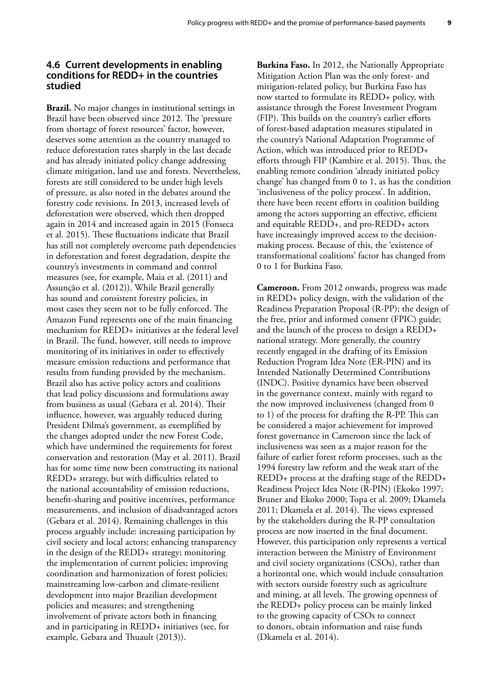### <span id="page-19-0"></span>**4.6 Current developments in enabling conditions for REDD+ in the countries studied**

**Brazil.** No major changes in institutional settings in Brazil have been observed since 2012. The 'pressure from shortage of forest resources' factor, however, deserves some attention as the country managed to reduce deforestation rates sharply in the last decade and has already initiated policy change addressing climate mitigation, land use and forests. Nevertheless, forests are still considered to be under high levels of pressure, as also noted in the debates around the forestry code revisions. In 2013, increased levels of deforestation were observed, which then dropped again in 2014 and increased again in 2015 (Fonseca et al. 2015). These fluctuations indicate that Brazil has still not completely overcome path dependencies in deforestation and forest degradation, despite the country's investments in command and control measures (see, for example, Maia et al. (2011) and Assunção et al. (2012)). While Brazil generally has sound and consistent forestry policies, in most cases they seem not to be fully enforced. The Amazon Fund represents one of the main financing mechanism for REDD+ initiatives at the federal level in Brazil. The fund, however, still needs to improve monitoring of its initiatives in order to effectively measure emission reductions and performance that results from funding provided by the mechanism. Brazil also has active policy actors and coalitions that lead policy discussions and formulations away from business as usual (Gebara et al. 2014). Their influence, however, was arguably reduced during President Dilma's government, as exemplified by the changes adopted under the new Forest Code, which have undermined the requirements for forest conservation and restoration (May et al. 2011). Brazil has for some time now been constructing its national REDD+ strategy, but with difficulties related to the national accountability of emission reductions, benefit-sharing and positive incentives, performance measurements, and inclusion of disadvantaged actors (Gebara et al. 2014). Remaining challenges in this process arguably include: increasing participation by civil society and local actors; enhancing transparency in the design of the REDD+ strategy; monitoring the implementation of current policies; improving coordination and harmonization of forest policies; mainstreaming low-carbon and climate-resilient development into major Brazilian development policies and measures; and strengthening involvement of private actors both in financing and in participating in REDD+ initiatives (see, for example, Gebara and Thuault (2013)).

**Burkina Faso.** In 2012, the Nationally Appropriate Mitigation Action Plan was the only forest- and mitigation-related policy, but Burkina Faso has now started to formulate its REDD+ policy, with assistance through the Forest Investment Program (FIP). This builds on the country's earlier efforts of forest-based adaptation measures stipulated in the country's National Adaptation Programme of Action, which was introduced prior to REDD+ efforts through FIP (Kambire et al. 2015). Thus, the enabling remote condition 'already initiated policy change' has changed from 0 to 1, as has the condition 'inclusiveness of the policy process'. In addition, there have been recent efforts in coalition building among the actors supporting an effective, efficient and equitable REDD+, and pro-REDD+ actors have increasingly improved access to the decisionmaking process. Because of this, the 'existence of transformational coalitions' factor has changed from 0 to 1 for Burkina Faso.

**Cameroon.** From 2012 onwards, progress was made in REDD+ policy design, with the validation of the Readiness Preparation Proposal (R-PP); the design of the free, prior and informed consent (FPIC) guide; and the launch of the process to design a REDD+ national strategy. More generally, the country recently engaged in the drafting of its Emission Reduction Program Idea Note (ER-PIN) and its Intended Nationally Determined Contributions (INDC). Positive dynamics have been observed in the governance context, mainly with regard to the now improved inclusiveness (changed from 0 to 1) of the process for drafting the R-PP. This can be considered a major achievement for improved forest governance in Cameroon since the lack of inclusiveness was seen as a major reason for the failure of earlier forest reform processes, such as the 1994 forestry law reform and the weak start of the REDD+ process at the drafting stage of the REDD+ Readiness Project Idea Note (R-PIN) (Ekoko 1997; Bruner and Ekoko 2000; Topa et al. 2009; Dkamela 2011; Dkamela et al. 2014). The views expressed by the stakeholders during the R-PP consultation process are now inserted in the final document. However, this participation only represents a vertical interaction between the Ministry of Environment and civil society organizations (CSOs), rather than a horizontal one, which would include consultation with sectors outside forestry such as agriculture and mining, at all levels. The growing openness of the REDD+ policy process can be mainly linked to the growing capacity of CSOs to connect to donors, obtain information and raise funds (Dkamela et al. 2014).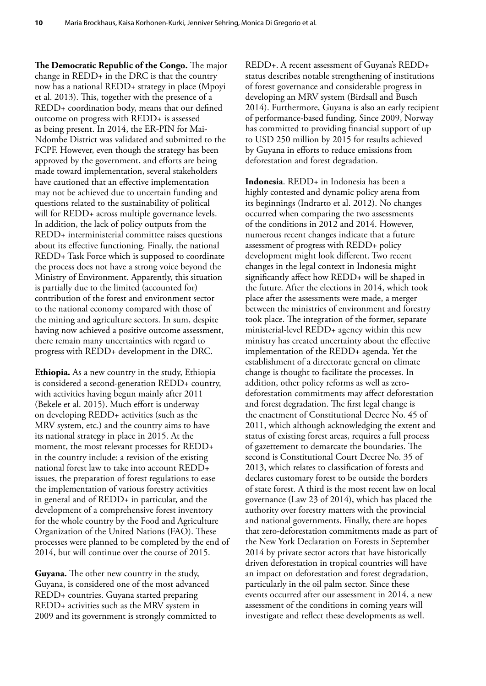**The Democratic Republic of the Congo.** The major change in REDD+ in the DRC is that the country now has a national REDD+ strategy in place (Mpoyi et al. 2013). This, together with the presence of a REDD+ coordination body, means that our defined outcome on progress with REDD+ is assessed as being present. In 2014, the ER-PIN for Mai-Ndombe District was validated and submitted to the FCPF. However, even though the strategy has been approved by the government, and efforts are being made toward implementation, several stakeholders have cautioned that an effective implementation may not be achieved due to uncertain funding and questions related to the sustainability of political will for REDD+ across multiple governance levels. In addition, the lack of policy outputs from the REDD+ interministerial committee raises questions about its effective functioning. Finally, the national REDD+ Task Force which is supposed to coordinate the process does not have a strong voice beyond the Ministry of Environment. Apparently, this situation is partially due to the limited (accounted for) contribution of the forest and environment sector to the national economy compared with those of the mining and agriculture sectors. In sum, despite having now achieved a positive outcome assessment, there remain many uncertainties with regard to progress with REDD+ development in the DRC.

**Ethiopia.** As a new country in the study, Ethiopia is considered a second-generation REDD+ country, with activities having begun mainly after 2011 (Bekele et al. 2015). Much effort is underway on developing REDD+ activities (such as the MRV system, etc.) and the country aims to have its national strategy in place in 2015. At the moment, the most relevant processes for REDD+ in the country include: a revision of the existing national forest law to take into account REDD+ issues, the preparation of forest regulations to ease the implementation of various forestry activities in general and of REDD+ in particular, and the development of a comprehensive forest inventory for the whole country by the Food and Agriculture Organization of the United Nations (FAO). These processes were planned to be completed by the end of 2014, but will continue over the course of 2015.

**Guyana.** The other new country in the study, Guyana, is considered one of the most advanced REDD+ countries. Guyana started preparing REDD+ activities such as the MRV system in 2009 and its government is strongly committed to

REDD+. A recent assessment of Guyana's REDD+ status describes notable strengthening of institutions of forest governance and considerable progress in developing an MRV system (Birdsall and Busch 2014). Furthermore, Guyana is also an early recipient of performance-based funding. Since 2009, Norway has committed to providing financial support of up to USD 250 million by 2015 for results achieved by Guyana in efforts to reduce emissions from deforestation and forest degradation.

**Indonesia**. REDD+ in Indonesia has been a highly contested and dynamic policy arena from its beginnings (Indrarto et al. 2012). No changes occurred when comparing the two assessments of the conditions in 2012 and 2014. However, numerous recent changes indicate that a future assessment of progress with REDD+ policy development might look different. Two recent changes in the legal context in Indonesia might significantly affect how REDD+ will be shaped in the future. After the elections in 2014, which took place after the assessments were made, a merger between the ministries of environment and forestry took place. The integration of the former, separate ministerial-level REDD+ agency within this new ministry has created uncertainty about the effective implementation of the REDD+ agenda. Yet the establishment of a directorate general on climate change is thought to facilitate the processes. In addition, other policy reforms as well as zerodeforestation commitments may affect deforestation and forest degradation. The first legal change is the enactment of Constitutional Decree No. 45 of 2011, which although acknowledging the extent and status of existing forest areas, requires a full process of gazettement to demarcate the boundaries. The second is Constitutional Court Decree No. 35 of 2013, which relates to classification of forests and declares customary forest to be outside the borders of state forest. A third is the most recent law on local governance (Law 23 of 2014), which has placed the authority over forestry matters with the provincial and national governments. Finally, there are hopes that zero-deforestation commitments made as part of the New York Declaration on Forests in September 2014 by private sector actors that have historically driven deforestation in tropical countries will have an impact on deforestation and forest degradation, particularly in the oil palm sector. Since these events occurred after our assessment in 2014, a new assessment of the conditions in coming years will investigate and reflect these developments as well.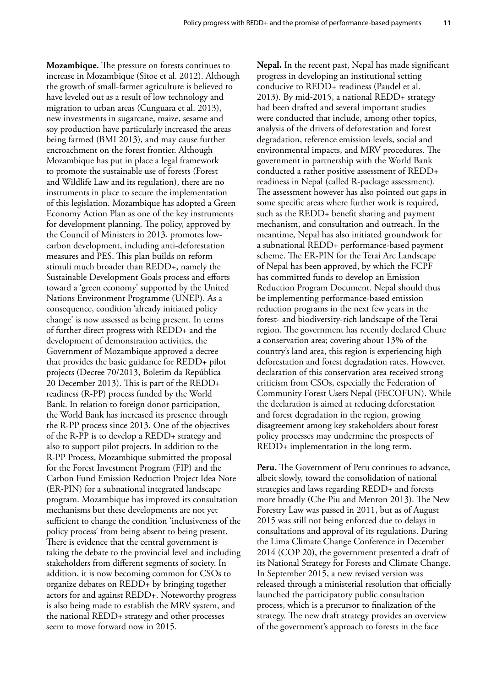**Mozambique.** The pressure on forests continues to increase in Mozambique (Sitoe et al. 2012). Although the growth of small-farmer agriculture is believed to have leveled out as a result of low technology and migration to urban areas (Cunguara et al. 2013), new investments in sugarcane, maize, sesame and soy production have particularly increased the areas being farmed (BMI 2013), and may cause further encroachment on the forest frontier. Although Mozambique has put in place a legal framework to promote the sustainable use of forests (Forest and Wildlife Law and its regulation), there are no instruments in place to secure the implementation of this legislation. Mozambique has adopted a Green Economy Action Plan as one of the key instruments for development planning. The policy, approved by the Council of Ministers in 2013, promotes lowcarbon development, including anti-deforestation measures and PES. This plan builds on reform stimuli much broader than REDD+, namely the Sustainable Development Goals process and efforts toward a 'green economy' supported by the United Nations Environment Programme (UNEP). As a consequence, condition 'already initiated policy change' is now assessed as being present. In terms of further direct progress with REDD+ and the development of demonstration activities, the Government of Mozambique approved a decree that provides the basic guidance for REDD+ pilot projects (Decree 70/2013, Boletim da República 20 December 2013). This is part of the REDD+ readiness (R-PP) process funded by the World Bank. In relation to foreign donor participation, the World Bank has increased its presence through the R-PP process since 2013. One of the objectives of the R-PP is to develop a REDD+ strategy and also to support pilot projects. In addition to the R-PP Process, Mozambique submitted the proposal for the Forest Investment Program (FIP) and the Carbon Fund Emission Reduction Project Idea Note (ER-PIN) for a subnational integrated landscape program. Mozambique has improved its consultation mechanisms but these developments are not yet sufficient to change the condition 'inclusiveness of the policy process' from being absent to being present. There is evidence that the central government is taking the debate to the provincial level and including stakeholders from different segments of society. In addition, it is now becoming common for CSOs to organize debates on REDD+ by bringing together actors for and against REDD+. Noteworthy progress is also being made to establish the MRV system, and the national REDD+ strategy and other processes seem to move forward now in 2015.

**Nepal.** In the recent past, Nepal has made significant progress in developing an institutional setting conducive to REDD+ readiness (Paudel et al. 2013). By mid-2015, a national REDD+ strategy had been drafted and several important studies were conducted that include, among other topics, analysis of the drivers of deforestation and forest degradation, reference emission levels, social and environmental impacts, and MRV procedures. The government in partnership with the World Bank conducted a rather positive assessment of REDD+ readiness in Nepal (called R-package assessment). The assessment however has also pointed out gaps in some specific areas where further work is required, such as the REDD+ benefit sharing and payment mechanism, and consultation and outreach. In the meantime, Nepal has also initiated groundwork for a subnational REDD+ performance-based payment scheme. The ER-PIN for the Terai Arc Landscape of Nepal has been approved, by which the FCPF has committed funds to develop an Emission Reduction Program Document. Nepal should thus be implementing performance-based emission reduction programs in the next few years in the forest- and biodiversity-rich landscape of the Terai region. The government has recently declared Chure a conservation area; covering about 13% of the country's land area, this region is experiencing high deforestation and forest degradation rates. However, declaration of this conservation area received strong criticism from CSOs, especially the Federation of Community Forest Users Nepal (FECOFUN). While the declaration is aimed at reducing deforestation and forest degradation in the region, growing disagreement among key stakeholders about forest policy processes may undermine the prospects of REDD+ implementation in the long term.

**Peru.** The Government of Peru continues to advance, albeit slowly, toward the consolidation of national strategies and laws regarding REDD+ and forests more broadly (Che Piu and Menton 2013). The New Forestry Law was passed in 2011, but as of August 2015 was still not being enforced due to delays in consultations and approval of its regulations. During the Lima Climate Change Conference in December 2014 (COP 20), the government presented a draft of its National Strategy for Forests and Climate Change. In September 2015, a new revised version was released through a ministerial resolution that officially launched the participatory public consultation process, which is a precursor to finalization of the strategy. The new draft strategy provides an overview of the government's approach to forests in the face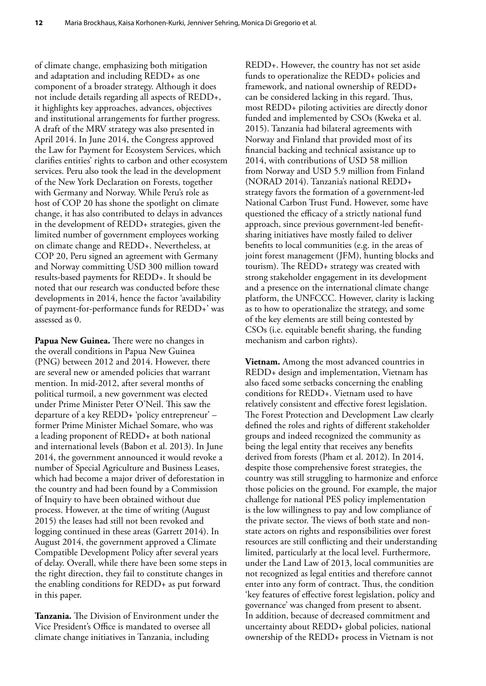of climate change, emphasizing both mitigation and adaptation and including REDD+ as one component of a broader strategy. Although it does not include details regarding all aspects of REDD+, it highlights key approaches, advances, objectives and institutional arrangements for further progress. A draft of the MRV strategy was also presented in April 2014. In June 2014, the Congress approved the Law for Payment for Ecosystem Services, which clarifies entities' rights to carbon and other ecosystem services. Peru also took the lead in the development of the New York Declaration on Forests, together with Germany and Norway. While Peru's role as host of COP 20 has shone the spotlight on climate change, it has also contributed to delays in advances in the development of REDD+ strategies, given the limited number of government employees working on climate change and REDD+. Nevertheless, at COP 20, Peru signed an agreement with Germany and Norway committing USD 300 million toward results-based payments for REDD+. It should be noted that our research was conducted before these developments in 2014, hence the factor 'availability of payment-for-performance funds for REDD+' was assessed as 0.

**Papua New Guinea.** There were no changes in the overall conditions in Papua New Guinea (PNG) between 2012 and 2014. However, there are several new or amended policies that warrant mention. In mid-2012, after several months of political turmoil, a new government was elected under Prime Minister Peter O'Neil. This saw the departure of a key REDD+ 'policy entrepreneur' – former Prime Minister Michael Somare, who was a leading proponent of REDD+ at both national and international levels (Babon et al. 2013). In June 2014, the government announced it would revoke a number of Special Agriculture and Business Leases, which had become a major driver of deforestation in the country and had been found by a Commission of Inquiry to have been obtained without due process. However, at the time of writing (August 2015) the leases had still not been revoked and logging continued in these areas (Garrett 2014). In August 2014, the government approved a Climate Compatible Development Policy after several years of delay. Overall, while there have been some steps in the right direction, they fail to constitute changes in the enabling conditions for REDD+ as put forward in this paper.

**Tanzania.** The Division of Environment under the Vice President's Office is mandated to oversee all climate change initiatives in Tanzania, including

REDD+. However, the country has not set aside funds to operationalize the REDD+ policies and framework, and national ownership of REDD+ can be considered lacking in this regard. Thus, most REDD+ piloting activities are directly donor funded and implemented by CSOs (Kweka et al. 2015). Tanzania had bilateral agreements with Norway and Finland that provided most of its financial backing and technical assistance up to 2014, with contributions of USD 58 million from Norway and USD 5.9 million from Finland (NORAD 2014). Tanzania's national REDD+ strategy favors the formation of a government-led National Carbon Trust Fund. However, some have questioned the efficacy of a strictly national fund approach, since previous government-led benefitsharing initiatives have mostly failed to deliver benefits to local communities (e.g. in the areas of joint forest management (JFM), hunting blocks and tourism). The REDD+ strategy was created with strong stakeholder engagement in its development and a presence on the international climate change platform, the UNFCCC. However, clarity is lacking as to how to operationalize the strategy, and some of the key elements are still being contested by CSOs (i.e. equitable benefit sharing, the funding mechanism and carbon rights).

**Vietnam.** Among the most advanced countries in REDD+ design and implementation, Vietnam has also faced some setbacks concerning the enabling conditions for REDD+. Vietnam used to have relatively consistent and effective forest legislation. The Forest Protection and Development Law clearly defined the roles and rights of different stakeholder groups and indeed recognized the community as being the legal entity that receives any benefits derived from forests (Pham et al. 2012). In 2014, despite those comprehensive forest strategies, the country was still struggling to harmonize and enforce those policies on the ground. For example, the major challenge for national PES policy implementation is the low willingness to pay and low compliance of the private sector. The views of both state and nonstate actors on rights and responsibilities over forest resources are still conflicting and their understanding limited, particularly at the local level. Furthermore, under the Land Law of 2013, local communities are not recognized as legal entities and therefore cannot enter into any form of contract. Thus, the condition 'key features of effective forest legislation, policy and governance' was changed from present to absent. In addition, because of decreased commitment and uncertainty about REDD+ global policies, national ownership of the REDD+ process in Vietnam is not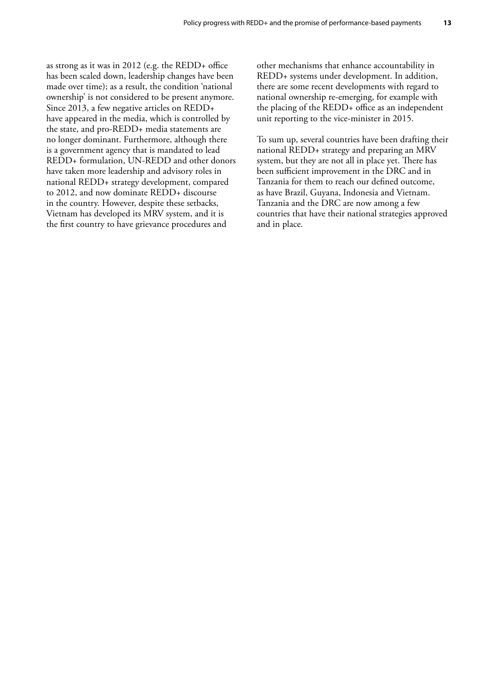as strong as it was in 2012 (e.g. the REDD+ office has been scaled down, leadership changes have been made over time); as a result, the condition 'national ownership' is not considered to be present anymore. Since 2013, a few negative articles on REDD+ have appeared in the media, which is controlled by the state, and pro-REDD+ media statements are no longer dominant. Furthermore, although there is a government agency that is mandated to lead REDD+ formulation, UN-REDD and other donors have taken more leadership and advisory roles in national REDD+ strategy development, compared to 2012, and now dominate REDD+ discourse in the country. However, despite these setbacks, Vietnam has developed its MRV system, and it is the first country to have grievance procedures and

other mechanisms that enhance accountability in REDD+ systems under development. In addition, there are some recent developments with regard to national ownership re-emerging, for example with the placing of the REDD+ office as an independent unit reporting to the vice-minister in 2015.

To sum up, several countries have been drafting their national REDD+ strategy and preparing an MRV system, but they are not all in place yet. There has been sufficient improvement in the DRC and in Tanzania for them to reach our defined outcome, as have Brazil, Guyana, Indonesia and Vietnam. Tanzania and the DRC are now among a few countries that have their national strategies approved and in place.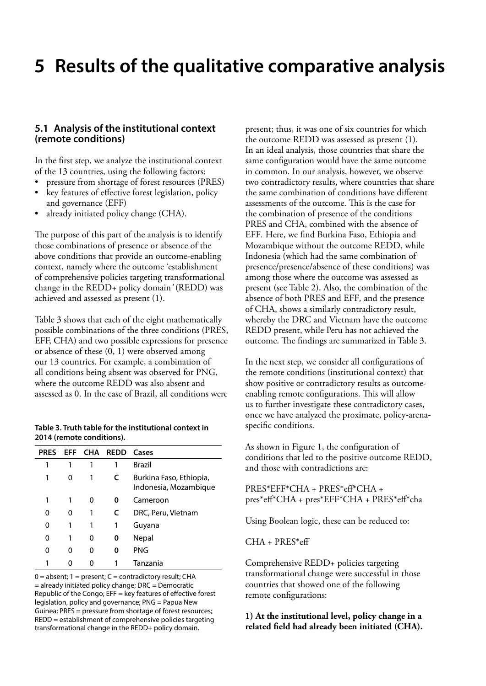# <span id="page-24-0"></span>**5 Results of the qualitative comparative analysis**

### **5.1 Analysis of the institutional context (remote conditions)**

In the first step, we analyze the institutional context of the 13 countries, using the following factors:

- pressure from shortage of forest resources (PRES)
- • key features of effective forest legislation, policy and governance (EFF)
- already initiated policy change (CHA).

The purpose of this part of the analysis is to identify those combinations of presence or absence of the above conditions that provide an outcome-enabling context, namely where the outcome 'establishment of comprehensive policies targeting transformational change in the REDD+ policy domain*'* (REDD) was achieved and assessed as present (1).

Table 3 shows that each of the eight mathematically possible combinations of the three conditions (PRES, EFF, CHA) and two possible expressions for presence or absence of these (0, 1) were observed among our 13 countries. For example, a combination of all conditions being absent was observed for PNG, where the outcome REDD was also absent and assessed as 0. In the case of Brazil, all conditions were

#### **Table 3. Truth table for the institutional context in 2014 (remote conditions).**

| <b>PRES</b> |   |   | <b>EFF CHA REDD Cases</b> |                                                  |
|-------------|---|---|---------------------------|--------------------------------------------------|
| 1           | 1 | 1 | 1                         | <b>Brazil</b>                                    |
| 1           | 0 | 1 | C                         | Burkina Faso, Ethiopia,<br>Indonesia, Mozambique |
| 1           | 1 | 0 | 0                         | Cameroon                                         |
| 0           | 0 | 1 | C                         | DRC, Peru, Vietnam                               |
| 0           | 1 | 1 | 1                         | Guyana                                           |
| 0           | 1 | 0 | 0                         | Nepal                                            |
| 0           | o | 0 | Ω                         | <b>PNG</b>                                       |
|             |   |   |                           | Tanzania                                         |

 $0 =$  absent;  $1 =$  present;  $C =$  contradictory result; CHA = already initiated policy change; DRC = Democratic Republic of the Congo; EFF = key features of effective forest legislation, policy and governance; PNG = Papua New Guinea; PRES = pressure from shortage of forest resources; REDD = establishment of comprehensive policies targeting transformational change in the REDD+ policy domain.

present; thus, it was one of six countries for which the outcome REDD was assessed as present (1). In an ideal analysis, those countries that share the same configuration would have the same outcome in common. In our analysis, however, we observe two contradictory results, where countries that share the same combination of conditions have different assessments of the outcome. This is the case for the combination of presence of the conditions PRES and CHA, combined with the absence of EFF*.* Here, we find Burkina Faso, Ethiopia and Mozambique without the outcome REDD, while Indonesia (which had the same combination of presence/presence/absence of these conditions) was among those where the outcome was assessed as present (see Table 2). Also, the combination of the absence of both PRES and EFF*,* and the presence of CHA, shows a similarly contradictory result, whereby the DRC and Vietnam have the outcome REDD present, while Peru has not achieved the outcome. The findings are summarized in Table 3.

In the next step, we consider all configurations of the remote conditions (institutional context) that show positive or contradictory results as outcomeenabling remote configurations. This will allow us to further investigate these contradictory cases, once we have analyzed the proximate, policy-arenaspecific conditions.

As shown in Figure 1, the configuration of conditions that led to the positive outcome REDD, and those with contradictions are:

PRES\*EFF\*CHA + PRES\*eff\*CHA + pres\*eff\*CHA + pres\*EFF\*CHA + PRES\*eff\*cha

Using Boolean logic, these can be reduced to:

CHA + PRES\*eff

Comprehensive REDD+ policies targeting transformational change were successful in those countries that showed one of the following remote configurations:

### **1) At the institutional level, policy change in a related field had already been initiated (CHA).**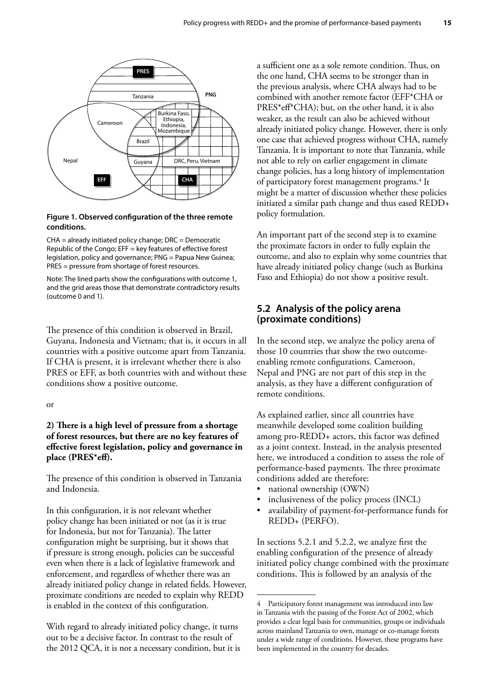<span id="page-25-0"></span>

#### **Figure 1. Observed configuration of the three remote conditions.**

CHA = already initiated policy change; DRC = Democratic Republic of the Congo; EFF = key features of effective forest legislation, policy and governance; PNG = Papua New Guinea; PRES = pressure from shortage of forest resources.

Note: The lined parts show the configurations with outcome 1, and the grid areas those that demonstrate contradictory results (outcome 0 and 1).

The presence of this condition is observed in Brazil, Guyana, Indonesia and Vietnam; that is, it occurs in all countries with a positive outcome apart from Tanzania. If CHA is present, it is irrelevant whether there is also PRES or EFF, as both countries with and without these conditions show a positive outcome.

#### or

### **2) There is a high level of pressure from a shortage of forest resources, but there are no key features of effective forest legislation, policy and governance in place (PRES\*eff).**

The presence of this condition is observed in Tanzania and Indonesia.

In this configuration, it is not relevant whether policy change has been initiated or not (as it is true for Indonesia, but not for Tanzania). The latter configuration might be surprising, but it shows that if pressure is strong enough, policies can be successful even when there is a lack of legislative framework and enforcement, and regardless of whether there was an already initiated policy change in related fields. However, proximate conditions are needed to explain why REDD is enabled in the context of this configuration.

With regard to already initiated policy change, it turns out to be a decisive factor. In contrast to the result of the 2012 QCA, it is not a necessary condition, but it is a sufficient one as a sole remote condition. Thus, on the one hand, CHA seems to be stronger than in the previous analysis, where CHA always had to be combined with another remote factor (EFF\*CHA or PRES\*eff\*CHA); but, on the other hand, it is also weaker, as the result can also be achieved without already initiated policy change. However, there is only one case that achieved progress without CHA, namely Tanzania. It is important to note that Tanzania, while not able to rely on earlier engagement in climate change policies, has a long history of implementation of participatory forest management programs.<sup>4</sup> It might be a matter of discussion whether these policies initiated a similar path change and thus eased REDD+ policy formulation.

An important part of the second step is to examine the proximate factors in order to fully explain the outcome, and also to explain why some countries that have already initiated policy change (such as Burkina Faso and Ethiopia) do not show a positive result.

# **5.2 Analysis of the policy arena (proximate conditions)**

In the second step, we analyze the policy arena of those 10 countries that show the two outcomeenabling remote configurations. Cameroon, Nepal and PNG are not part of this step in the analysis, as they have a different configuration of remote conditions.

As explained earlier, since all countries have meanwhile developed some coalition building among pro-REDD+ actors, this factor was defined as a joint context. Instead, in the analysis presented here, we introduced a condition to assess the role of performance-based payments. The three proximate conditions added are therefore:

- national ownership (OWN)
- inclusiveness of the policy process (INCL)
- availability of payment-for-performance funds for REDD+ (PERFO).

In sections 5.2.1 and 5.2.2, we analyze first the enabling configuration of the presence of already initiated policy change combined with the proximate conditions. This is followed by an analysis of the

<sup>4</sup> Participatory forest management was introduced into law in Tanzania with the passing of the Forest Act of 2002, which provides a clear legal basis for communities, groups or individuals across mainland Tanzania to own, manage or co-manage forests under a wide range of conditions. However, these programs have been implemented in the country for decades.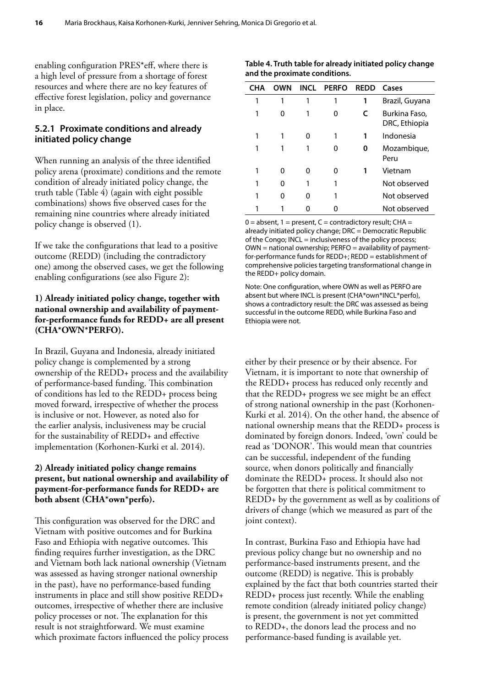<span id="page-26-0"></span>enabling configuration PRES\*eff, where there is a high level of pressure from a shortage of forest resources and where there are no key features of effective forest legislation, policy and governance in place.

### **5.2.1 Proximate conditions and already initiated policy change**

When running an analysis of the three identified policy arena (proximate) conditions and the remote condition of already initiated policy change, the truth table (Table 4) (again with eight possible combinations) shows five observed cases for the remaining nine countries where already initiated policy change is observed (1).

If we take the configurations that lead to a positive outcome (REDD) (including the contradictory one) among the observed cases, we get the following enabling configurations (see also Figure 2):

### **1) Already initiated policy change, together with national ownership and availability of paymentfor-performance funds for REDD+ are all present (CHA\*OWN\*PERFO).**

In Brazil, Guyana and Indonesia, already initiated policy change is complemented by a strong ownership of the REDD+ process and the availability of performance-based funding. This combination of conditions has led to the REDD+ process being moved forward, irrespective of whether the process is inclusive or not. However, as noted also for the earlier analysis, inclusiveness may be crucial for the sustainability of REDD+ and effective implementation (Korhonen-Kurki et al. 2014).

### **2) Already initiated policy change remains present, but national ownership and availability of payment-for-performance funds for REDD+ are both absent (CHA\*own\*perfo).**

This configuration was observed for the DRC and Vietnam with positive outcomes and for Burkina Faso and Ethiopia with negative outcomes. This finding requires further investigation, as the DRC and Vietnam both lack national ownership (Vietnam was assessed as having stronger national ownership in the past), have no performance-based funding instruments in place and still show positive REDD+ outcomes, irrespective of whether there are inclusive policy processes or not. The explanation for this result is not straightforward. We must examine which proximate factors influenced the policy process

| Table 4. Truth table for already initiated policy change |  |
|----------------------------------------------------------|--|
| and the proximate conditions.                            |  |

| CHA | OWN | INCL | <b>PERFO</b> | <b>REDD</b> | Cases                          |
|-----|-----|------|--------------|-------------|--------------------------------|
|     |     |      |              |             | Brazil, Guyana                 |
|     |     |      | O            | C           | Burkina Faso,<br>DRC, Ethiopia |
|     |     | 0    |              |             | Indonesia                      |
|     |     |      |              | O           | Mozambique,<br>Peru            |
|     |     | O    |              |             | Vietnam                        |
|     |     |      |              |             | Not observed                   |
|     |     | 0    |              |             | Not observed                   |
|     |     |      |              |             | Not observed                   |

 $0 =$  absent,  $1 =$  present,  $C =$  contradictory result; CHA = already initiated policy change; DRC = Democratic Republic of the Congo; INCL = inclusiveness of the policy process; OWN = national ownership; PERFO = availability of paymentfor-performance funds for REDD+; REDD = establishment of comprehensive policies targeting transformational change in the REDD+ policy domain.

Note: One configuration, where OWN as well as PERFO are absent but where INCL is present (CHA\*own\*INCL\*perfo), shows a contradictory result: the DRC was assessed as being successful in the outcome REDD, while Burkina Faso and Ethiopia were not.

either by their presence or by their absence. For Vietnam, it is important to note that ownership of the REDD+ process has reduced only recently and that the REDD+ progress we see might be an effect of strong national ownership in the past (Korhonen-Kurki et al. 2014). On the other hand, the absence of national ownership means that the REDD+ process is dominated by foreign donors. Indeed, 'own' could be read as 'DONOR'. This would mean that countries can be successful, independent of the funding source, when donors politically and financially dominate the REDD+ process. It should also not be forgotten that there is political commitment to REDD+ by the government as well as by coalitions of drivers of change (which we measured as part of the joint context).

In contrast, Burkina Faso and Ethiopia have had previous policy change but no ownership and no performance-based instruments present, and the outcome (REDD) is negative. This is probably explained by the fact that both countries started their REDD+ process just recently. While the enabling remote condition (already initiated policy change) is present, the government is not yet committed to REDD+, the donors lead the process and no performance-based funding is available yet.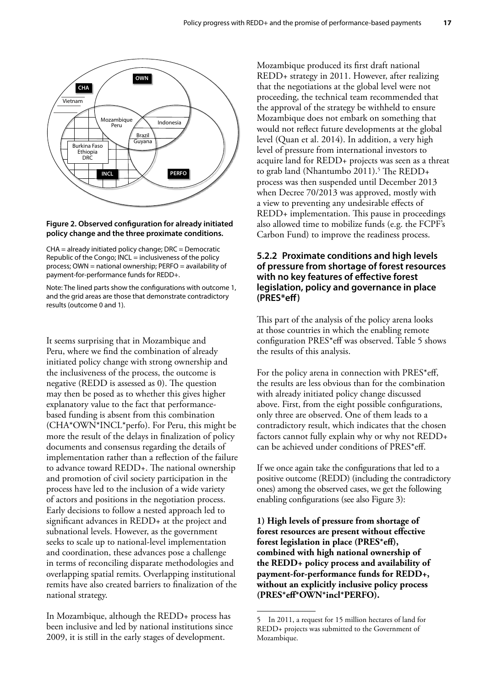<span id="page-27-0"></span>

#### **Figure 2. Observed configuration for already initiated policy change and the three proximate conditions.**

CHA = already initiated policy change; DRC = Democratic Republic of the Congo; INCL = inclusiveness of the policy process; OWN = national ownership; PERFO = availability of payment-for-performance funds for REDD+.

Note: The lined parts show the configurations with outcome 1, and the grid areas are those that demonstrate contradictory results (outcome 0 and 1).

It seems surprising that in Mozambique and Peru, where we find the combination of already initiated policy change with strong ownership and the inclusiveness of the process, the outcome is negative (REDD is assessed as 0). The question may then be posed as to whether this gives higher explanatory value to the fact that performancebased funding is absent from this combination (CHA\*OWN\*INCL\*perfo). For Peru, this might be more the result of the delays in finalization of policy documents and consensus regarding the details of implementation rather than a reflection of the failure to advance toward REDD+. The national ownership and promotion of civil society participation in the process have led to the inclusion of a wide variety of actors and positions in the negotiation process. Early decisions to follow a nested approach led to significant advances in REDD+ at the project and subnational levels. However, as the government seeks to scale up to national-level implementation and coordination, these advances pose a challenge in terms of reconciling disparate methodologies and overlapping spatial remits. Overlapping institutional remits have also created barriers to finalization of the national strategy.

In Mozambique, although the REDD+ process has been inclusive and led by national institutions since 2009, it is still in the early stages of development.

Mozambique produced its first draft national REDD+ strategy in 2011. However, after realizing that the negotiations at the global level were not proceeding, the technical team recommended that the approval of the strategy be withheld to ensure Mozambique does not embark on something that would not reflect future developments at the global level (Quan et al. 2014). In addition, a very high level of pressure from international investors to acquire land for REDD+ projects was seen as a threat to grab land (Nhantumbo 2011).<sup>5</sup> The REDD+ process was then suspended until December 2013 when Decree 70/2013 was approved, mostly with a view to preventing any undesirable effects of REDD+ implementation. This pause in proceedings also allowed time to mobilize funds (e.g. the FCPF's Carbon Fund) to improve the readiness process.

### **5.2.2 Proximate conditions and high levels of pressure from shortage of forest resources with no key features of effective forest legislation, policy and governance in place (PRES\*eff)**

This part of the analysis of the policy arena looks at those countries in which the enabling remote configuration PRES\*eff was observed. Table 5 shows the results of this analysis.

For the policy arena in connection with PRES\*eff, the results are less obvious than for the combination with already initiated policy change discussed above. First, from the eight possible configurations, only three are observed. One of them leads to a contradictory result, which indicates that the chosen factors cannot fully explain why or why not REDD+ can be achieved under conditions of PRES\*eff.

If we once again take the configurations that led to a positive outcome (REDD) (including the contradictory ones) among the observed cases, we get the following enabling configurations (see also Figure 3):

**1) High levels of pressure from shortage of forest resources are present without effective forest legislation in place (PRES\*eff), combined with high national ownership of the REDD+ policy process and availability of payment-for-performance funds for REDD+, without an explicitly inclusive policy process (PRES\*eff\*OWN\*incl\*PERFO).**

<sup>5</sup> In 2011, a request for 15 million hectares of land for REDD+ projects was submitted to the Government of Mozambique.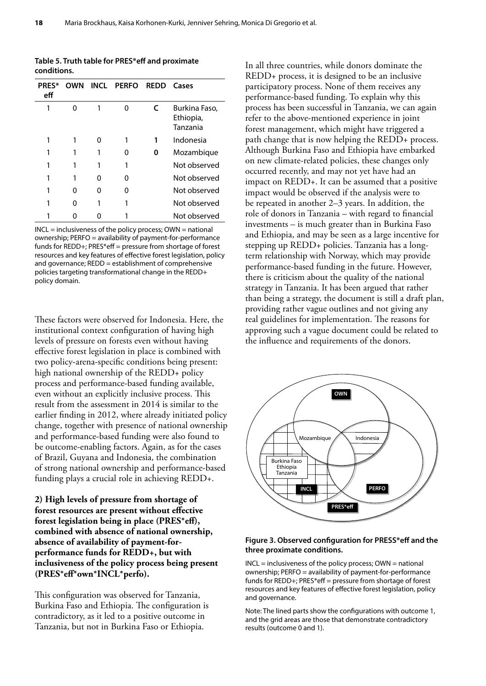| Table 5. Truth table for PRES*eff and proximate |
|-------------------------------------------------|
| conditions.                                     |

| <b>PRES*</b><br>eff | OWN |   | INCL PERFO | <b>REDD</b> | Cases                                  |
|---------------------|-----|---|------------|-------------|----------------------------------------|
|                     | n   |   | ∩          |             | Burkina Faso,<br>Ethiopia,<br>Tanzania |
|                     |     |   |            |             | Indonesia                              |
|                     |     |   |            | o           | Mozambique                             |
|                     |     |   |            |             | Not observed                           |
|                     |     | Ω | n          |             | Not observed                           |
|                     | O   | ი | n          |             | Not observed                           |
|                     | O   |   |            |             | Not observed                           |
|                     |     |   |            |             | Not observed                           |

INCL = inclusiveness of the policy process; OWN = national ownership; PERFO = availability of payment-for-performance funds for REDD+; PRES\*eff = pressure from shortage of forest resources and key features of effective forest legislation, policy and governance; REDD = establishment of comprehensive policies targeting transformational change in the REDD+ policy domain.

These factors were observed for Indonesia. Here, the institutional context configuration of having high levels of pressure on forests even without having effective forest legislation in place is combined with two policy-arena-specific conditions being present: high national ownership of the REDD+ policy process and performance-based funding available, even without an explicitly inclusive process. This result from the assessment in 2014 is similar to the earlier finding in 2012, where already initiated policy change, together with presence of national ownership and performance-based funding were also found to be outcome-enabling factors. Again, as for the cases of Brazil, Guyana and Indonesia, the combination of strong national ownership and performance-based funding plays a crucial role in achieving REDD+.

**2) High levels of pressure from shortage of forest resources are present without effective forest legislation being in place (PRES\*eff), combined with absence of national ownership, absence of availability of payment-forperformance funds for REDD+, but with inclusiveness of the policy process being present (PRES\*eff\*own\*INCL\*perfo).**

This configuration was observed for Tanzania, Burkina Faso and Ethiopia. The configuration is contradictory, as it led to a positive outcome in Tanzania, but not in Burkina Faso or Ethiopia.

In all three countries, while donors dominate the REDD+ process, it is designed to be an inclusive participatory process. None of them receives any performance-based funding. To explain why this process has been successful in Tanzania, we can again refer to the above-mentioned experience in joint forest management, which might have triggered a path change that is now helping the REDD+ process. Although Burkina Faso and Ethiopia have embarked on new climate-related policies, these changes only occurred recently, and may not yet have had an impact on REDD+. It can be assumed that a positive impact would be observed if the analysis were to be repeated in another 2–3 years. In addition, the role of donors in Tanzania – with regard to financial investments – is much greater than in Burkina Faso and Ethiopia, and may be seen as a large incentive for stepping up REDD+ policies. Tanzania has a longterm relationship with Norway, which may provide performance-based funding in the future. However, there is criticism about the quality of the national strategy in Tanzania. It has been argued that rather than being a strategy, the document is still a draft plan, providing rather vague outlines and not giving any real guidelines for implementation. The reasons for approving such a vague document could be related to the influence and requirements of the donors.



#### **Figure 3. Observed configuration for PRESS\*eff and the three proximate conditions.**

INCL = inclusiveness of the policy process; OWN = national ownership; PERFO = availability of payment-for-performance funds for REDD+; PRES\*eff = pressure from shortage of forest resources and key features of effective forest legislation, policy and governance.

Note: The lined parts show the configurations with outcome 1, and the grid areas are those that demonstrate contradictory results (outcome 0 and 1).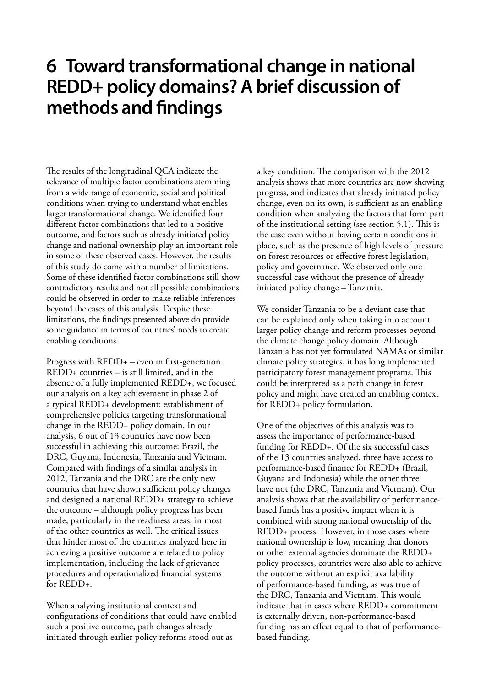# <span id="page-29-0"></span>**6 Toward transformational change in national REDD+ policy domains? A brief discussion of methods and findings**

The results of the longitudinal QCA indicate the relevance of multiple factor combinations stemming from a wide range of economic, social and political conditions when trying to understand what enables larger transformational change. We identified four different factor combinations that led to a positive outcome, and factors such as already initiated policy change and national ownership play an important role in some of these observed cases. However, the results of this study do come with a number of limitations. Some of these identified factor combinations still show contradictory results and not all possible combinations could be observed in order to make reliable inferences beyond the cases of this analysis. Despite these limitations, the findings presented above do provide some guidance in terms of countries' needs to create enabling conditions.

Progress with REDD+ – even in first-generation REDD+ countries – is still limited, and in the absence of a fully implemented REDD+, we focused our analysis on a key achievement in phase 2 of a typical REDD+ development: establishment of comprehensive policies targeting transformational change in the REDD+ policy domain. In our analysis, 6 out of 13 countries have now been successful in achieving this outcome: Brazil, the DRC, Guyana, Indonesia, Tanzania and Vietnam. Compared with findings of a similar analysis in 2012, Tanzania and the DRC are the only new countries that have shown sufficient policy changes and designed a national REDD+ strategy to achieve the outcome – although policy progress has been made, particularly in the readiness areas, in most of the other countries as well. The critical issues that hinder most of the countries analyzed here in achieving a positive outcome are related to policy implementation, including the lack of grievance procedures and operationalized financial systems for REDD+.

When analyzing institutional context and configurations of conditions that could have enabled such a positive outcome, path changes already initiated through earlier policy reforms stood out as

a key condition. The comparison with the 2012 analysis shows that more countries are now showing progress, and indicates that already initiated policy change, even on its own, is sufficient as an enabling condition when analyzing the factors that form part of the institutional setting (see section 5.1). This is the case even without having certain conditions in place, such as the presence of high levels of pressure on forest resources or effective forest legislation, policy and governance. We observed only one successful case without the presence of already initiated policy change – Tanzania.

We consider Tanzania to be a deviant case that can be explained only when taking into account larger policy change and reform processes beyond the climate change policy domain. Although Tanzania has not yet formulated NAMAs or similar climate policy strategies, it has long implemented participatory forest management programs. This could be interpreted as a path change in forest policy and might have created an enabling context for REDD+ policy formulation.

One of the objectives of this analysis was to assess the importance of performance-based funding for REDD+. Of the six successful cases of the 13 countries analyzed, three have access to performance-based finance for REDD+ (Brazil, Guyana and Indonesia) while the other three have not (the DRC, Tanzania and Vietnam). Our analysis shows that the availability of performancebased funds has a positive impact when it is combined with strong national ownership of the REDD+ process. However, in those cases where national ownership is low, meaning that donors or other external agencies dominate the REDD+ policy processes, countries were also able to achieve the outcome without an explicit availability of performance-based funding, as was true of the DRC, Tanzania and Vietnam. This would indicate that in cases where REDD+ commitment is externally driven, non-performance-based funding has an effect equal to that of performancebased funding.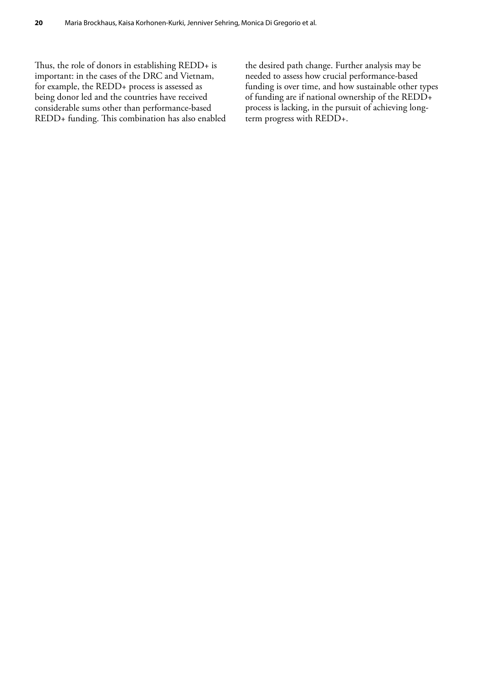Thus, the role of donors in establishing REDD+ is important: in the cases of the DRC and Vietnam, for example, the REDD+ process is assessed as being donor led and the countries have received considerable sums other than performance-based REDD+ funding. This combination has also enabled

the desired path change. Further analysis may be needed to assess how crucial performance-based funding is over time, and how sustainable other types of funding are if national ownership of the REDD+ process is lacking, in the pursuit of achieving longterm progress with REDD+.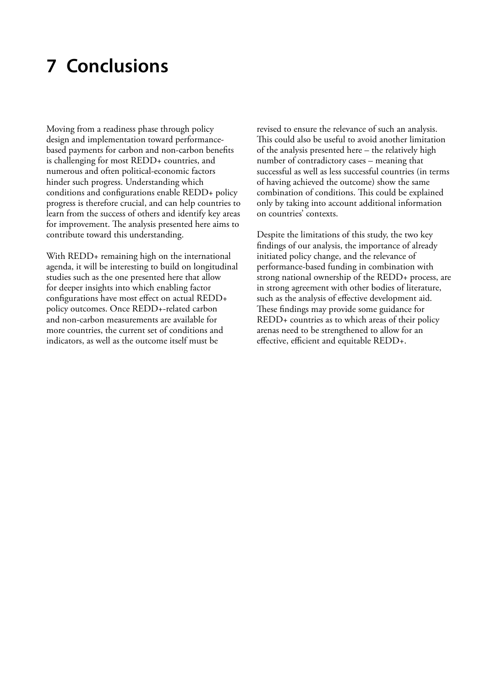# <span id="page-31-0"></span>**7 Conclusions**

Moving from a readiness phase through policy design and implementation toward performancebased payments for carbon and non-carbon benefits is challenging for most REDD+ countries, and numerous and often political-economic factors hinder such progress. Understanding which conditions and configurations enable REDD+ policy progress is therefore crucial, and can help countries to learn from the success of others and identify key areas for improvement. The analysis presented here aims to contribute toward this understanding.

With REDD+ remaining high on the international agenda, it will be interesting to build on longitudinal studies such as the one presented here that allow for deeper insights into which enabling factor configurations have most effect on actual REDD+ policy outcomes. Once REDD+-related carbon and non-carbon measurements are available for more countries, the current set of conditions and indicators, as well as the outcome itself must be

revised to ensure the relevance of such an analysis. This could also be useful to avoid another limitation of the analysis presented here – the relatively high number of contradictory cases – meaning that successful as well as less successful countries (in terms of having achieved the outcome) show the same combination of conditions. This could be explained only by taking into account additional information on countries' contexts.

Despite the limitations of this study, the two key findings of our analysis, the importance of already initiated policy change, and the relevance of performance-based funding in combination with strong national ownership of the REDD+ process, are in strong agreement with other bodies of literature, such as the analysis of effective development aid. These findings may provide some guidance for REDD+ countries as to which areas of their policy arenas need to be strengthened to allow for an effective, efficient and equitable REDD+.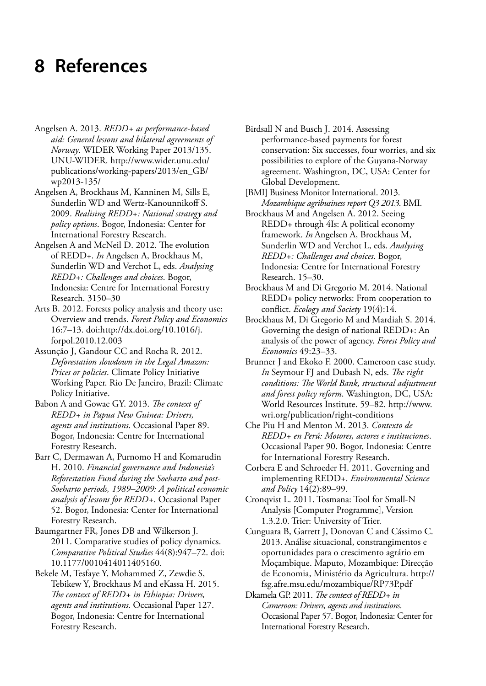# <span id="page-32-0"></span>**8 References**

- Angelsen A. 2013. *REDD+ as performance-based aid: General lessons and bilateral agreements of Norway*. WIDER Working Paper 2013/135. UNU-WIDER. http://www.wider.unu.edu/ publications/working-papers/2013/en\_GB/ wp2013-135/
- Angelsen A, Brockhaus M, Kanninen M, Sills E, Sunderlin WD and Wertz-Kanounnikoff S. 2009. *Realising REDD+: National strategy and policy options*. Bogor, Indonesia: Center for International Forestry Research.
- Angelsen A and McNeil D. 2012. The evolution of REDD+. *In* Angelsen A, Brockhaus M, Sunderlin WD and Verchot L, eds. *Analysing REDD+: Challenges and choices*. Bogor, Indonesia: Centre for International Forestry Research. 3150–30
- Arts B. 2012. Forests policy analysis and theory use: Overview and trends. *Forest Policy and Economics* 16:7–13. doi:[http://dx.doi.org/10.1016/j.](http://ec.europa.eu/) [forpol.2010.12.003](http://ec.europa.eu/)
- Assunção J, Gandour CC and Rocha R. 2012. *Deforestation slowdown in the Legal Amazon: Prices or policies*. Climate Policy Initiative Working Paper. Rio De Janeiro, Brazil: Climate Policy Initiative.
- Babon A and Gowae GY. 2013. *The context of REDD+ in Papua New Guinea: Drivers, agents and institutions*. Occasional Paper 89. Bogor, Indonesia: Centre for International Forestry Research.
- Barr C, Dermawan A, Purnomo H and Komarudin H. 2010. *Financial governance and Indonesia's Reforestation Fund during the Soeharto and post-Soeharto periods, 1989–2009: A political economic analysis of lessons for REDD+*. Occasional Paper 52. Bogor, Indonesia: Center for International Forestry Research.
- Baumgartner FR, Jones DB and Wilkerson J. 2011. Comparative studies of policy dynamics. *Comparative Political Studies* 44(8):947–72. doi: 10.1177/0010414011405160.
- Bekele M, Tesfaye Y, Mohammed Z, Zewdie S, Tebikew Y, Brockhaus M and eKassa H. 2015. *The context of REDD+ in Ethiopia: Drivers, agents and institutions*. Occasional Paper 127. Bogor, Indonesia: Centre for International Forestry Research.
- Birdsall N and Busch J. 2014. Assessing performance-based payments for forest conservation: Six successes, four worries, and six possibilities to explore of the Guyana-Norway agreement. Washington, DC, USA: Center for Global Development.
- [BMI] Business Monitor International. 2013. *Mozambique agribusiness report Q3 2013*. BMI.
- Brockhaus M and Angelsen A. 2012. Seeing REDD+ through 4Is: A political economy framework. *In* Angelsen A, Brockhaus M, Sunderlin WD and Verchot L, eds. *Analysing REDD+: Challenges and choices*. Bogor, Indonesia: Centre for International Forestry Research. 15–30.
- Brockhaus M and Di Gregorio M. 2014. National REDD+ policy networks: From cooperation to conflict. *Ecology and Society* 19(4):14.
- Brockhaus M, Di Gregorio M and Mardiah S. 2014. Governing the design of national REDD+: An analysis of the power of agency. *Forest Policy and Economics* 49:23–33.
- Brunner J and Ekoko F. 2000. Cameroon case study. *In* Seymour FJ and Dubash N, eds. *The right conditions: The World Bank, structural adjustment and forest policy reform*. Washington, DC, USA: World Resources Institute. 59–82. [http://www.](http://ec.europa.eu/) [wri.org/publication/right-conditions](http://ec.europa.eu/)
- Che Piu H and Menton M. 2013. *Contexto de REDD+ en Perú: Motores, actores e instituciones*. Occasional Paper 90. Bogor, Indonesia: Centre for International Forestry Research.
- Corbera E and Schroeder H. 2011. Governing and implementing REDD+. *Environmental Science and Policy* 14(2):89–99.
- Cronqvist L. 2011. Tosmana: Tool for Small-N Analysis [Computer Programme], Version 1.3.2.0. Trier: University of Trier.
- Cunguara B, Garrett J, Donovan C and Cássimo C. 2013. Análise situacional, constrangimentos e oportunidades para o crescimento agrário em Moçambique. Maputo, Mozambique: Direcção de Economia, Ministério da Agricultura. [http://](http://ec.europa.eu/) [fsg.afre.msu.edu/mozambique/RP73P.pdf](http://ec.europa.eu/)
- Dkamela GP. 2011. *The context of REDD+ in Cameroon: Drivers, agents and institutions*. Occasional Paper 57. Bogor, Indonesia: Center for International Forestry Research.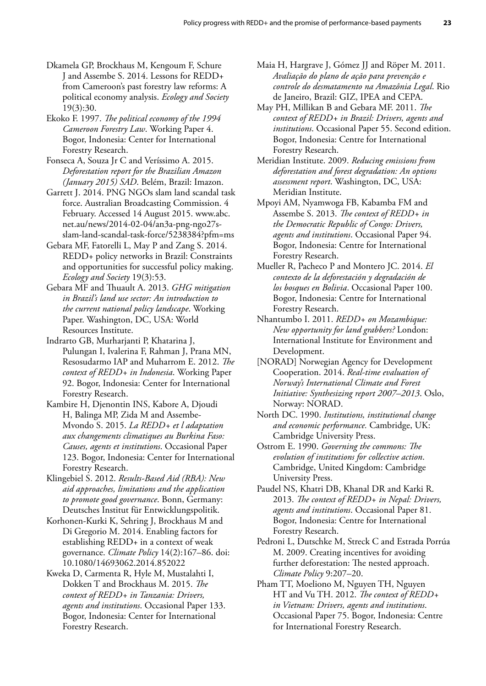- Dkamela GP, Brockhaus M, Kengoum F, Schure J and Assembe S. 2014. Lessons for REDD+ from Cameroon's past forestry law reforms: A political economy analysis. *Ecology and Society* 19(3):30.
- Ekoko F. 1997. *The political economy of the 1994 Cameroon Forestry Law*. Working Paper 4. Bogor, Indonesia: Center for International Forestry Research.
- Fonseca A, Souza Jr C and Veríssimo A. 2015. *Deforestation report for the Brazilian Amazon (January 2015) SAD*. Belém, Brazil: Imazon.
- Garrett J. 2014. PNG NGOs slam land scandal task force. Australian Broadcasting Commission. 4 February. Accessed 14 August 2015. [www.abc.](http://ec.europa.eu/) [net.au/news/2014-02-04/an3a-png-ngo27s](http://ec.europa.eu/)[slam-land-scandal-task-force/5238384?pfm=ms](http://ec.europa.eu/)
- Gebara MF, Fatorelli L, May P and Zang S. 2014. REDD+ policy networks in Brazil: Constraints and opportunities for successful policy making. *Ecology and Society* 19(3):53.
- Gebara MF and Thuault A. 2013. *GHG mitigation in Brazil's land use sector: An introduction to the current national policy landscape*. Working Paper. Washington, DC, USA: World Resources Institute.
- Indrarto GB, Murharjanti P, Khatarina J, Pulungan I, Ivalerina F, Rahman J, Prana MN, Resosudarmo IAP and Muharrom E. 2012. *The context of REDD+ in Indonesia*. Working Paper 92. Bogor, Indonesia: Center for International Forestry Research.
- Kambire H, Djenontin INS, Kabore A, Djoudi H, Balinga MP, Zida M and Assembe-Mvondo S. 2015. *La REDD+ et l adaptation aux changements climatiques au Burkina Faso: Causes, agents et institutions*. Occasional Paper 123. Bogor, Indonesia: Center for International Forestry Research.
- Klingebiel S. 2012. *Results-Based Aid (RBA): New aid approaches, limitations and the application to promote good governance*. Bonn, Germany: Deutsches Institut für Entwicklungspolitik.
- Korhonen-Kurki K, Sehring J, Brockhaus M and Di Gregorio M. 2014. Enabling factors for establishing REDD+ in a context of weak governance. *Climate Policy* 14(2):167–86. doi: 10.1080/14693062.2014.852022
- Kweka D, Carmenta R, Hyle M, Mustalahti I, Dokken T and Brockhaus M. 2015. *The context of REDD+ in Tanzania: Drivers, agents and institutions*. Occasional Paper 133. Bogor, Indonesia: Center for International Forestry Research.
- Maia H, Hargrave J, Gómez JJ and Röper M. 2011. *Avaliação do plano de ação para prevenção e controle do desmatamento na Amazônia Legal*. Rio de Janeiro, Brazil: GIZ, IPEA and CEPA.
- May PH, Millikan B and Gebara MF. 2011. *The context of REDD+ in Brazil: Drivers, agents and institutions*. Occasional Paper 55. Second edition. Bogor, Indonesia: Centre for International Forestry Research.
- Meridian Institute. 2009. *Reducing emissions from deforestation and forest degradation: An options assessment report*. Washington, DC, USA: Meridian Institute.
- Mpoyi AM, Nyamwoga FB, Kabamba FM and Assembe S. 2013. *The context of REDD+ in the Democratic Republic of Congo: Drivers, agents and institutions*. Occasional Paper 94. Bogor, Indonesia: Centre for International Forestry Research.
- Mueller R, Pacheco P and Montero JC. 2014. *El contexto de la deforestación y degradación de los bosques en Bolivia*. Occasional Paper 100. Bogor, Indonesia: Centre for International Forestry Research.
- Nhantumbo I. 2011. *REDD+ on Mozambique: New opportunity for land grabbers?* London: International Institute for Environment and Development.
- [NORAD] Norwegian Agency for Development Cooperation. 2014. *Real-time evaluation of Norway's International Climate and Forest Initiative: Synthesizing report 2007–2013*. Oslo, Norway: NORAD.
- North DC. 1990. *Institutions, institutional change and economic performance.* Cambridge, UK: Cambridge University Press.
- Ostrom E. 1990. *Governing the commons: The evolution of institutions for collective action*. Cambridge, United Kingdom: Cambridge University Press.
- Paudel NS, Khatri DB, Khanal DR and Karki R. 2013. *The context of REDD+ in Nepal: Drivers, agents and institutions*. Occasional Paper 81. Bogor, Indonesia: Centre for International Forestry Research.
- Pedroni L, Dutschke M, Streck C and Estrada Porrúa M. 2009. Creating incentives for avoiding further deforestation: The nested approach. *Climate Policy* 9:207–20.
- Pham TT, Moeliono M, Nguyen TH, Nguyen HT and Vu TH. 2012. *The context of REDD+ in Vietnam: Drivers, agents and institutions*. Occasional Paper 75. Bogor, Indonesia: Centre for International Forestry Research.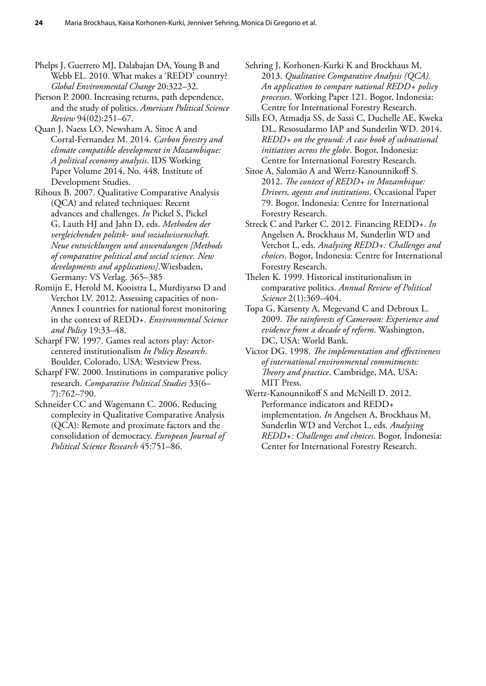Phelps J, Guerrero MJ, Dalabajan DA, Young B and Webb EL. 2010. What makes a 'REDD' country? *Global Environmental Change* 20:322–32.

Pierson P. 2000. Increasing returns, path dependence, and the study of politics. *American Political Science Review* 94(02):251–67.

Quan J, Naess LO, Newsham A, Sitoe A and Corral-Fernandez M. 2014. *Carbon forestry and climate compatible development in Mozambique: A political economy analysis*. IDS Working Paper Volume 2014, No. 448. Institute of Development Studies.

Rihoux B. 2007. Qualitative Comparative Analysis (QCA) and related techniques: Recent advances and challenges. *In* Pickel S, Pickel G, Lauth HJ and Jahn D, eds. *Methoden der vergleichenden politik- und sozialwissenschaft. Neue entwicklungen und anwendungen [Methods of comparative political and social science. New developments and applications]*.Wiesbaden, Germany: VS Verlag. 365–385

Romijn E, Herold M, Kooistra L, Murdiyarso D and Verchot LV. 2012. Assessing capacities of non-Annex I countries for national forest monitoring in the context of REDD+. *Environmental Science and Policy* 19:33–48.

Scharpf FW. 1997. Games real actors play: Actorcentered institutionalism *In Policy Research*. Boulder, Colorado, USA: Westview Press.

Scharpf FW. 2000. Institutions in comparative policy research. *Comparative Political Studies* 33(6– 7):762–790.

Schneider CC and Wagemann C. 2006. Reducing complexity in Qualitative Comparative Analysis (QCA): Remote and proximate factors and the consolidation of democracy. *European Journal of Political Science Research* 45:751–86.

Sehring J, Korhonen-Kurki K and Brockhaus M. 2013. *Qualitative Comparative Analysis (QCA). An application to compare national REDD+ policy processes*. Working Paper 121. Bogor, Indonesia: Centre for International Forestry Research.

Sills EO, Atmadja SS, de Sassi C, Duchelle AE, Kweka DL, Resosudarmo IAP and Sunderlin WD. 2014. *REDD+ on the ground: A case book of subnational initiatives across the globe*. Bogor, Indonesia: Centre for International Forestry Research.

Sitoe A, Salomão A and Wertz-Kanounnikoff S. 2012. *The context of REDD+ in Mozambique: Drivers, agents and institutions*. Occasional Paper 79. Bogor, Indonesia: Centre for International Forestry Research.

Streck C and Parker C. 2012. Financing REDD+. *In* Angelsen A, Brockhaus M, Sunderlin WD and Verchot L, eds. *Analysing REDD+: Challenges and choices*. Bogor, Indonesia: Centre for International Forestry Research.

Thelen K. 1999. Historical institutionalism in comparative politics. *Annual Review of Political Science* 2(1):369–404.

Topa G, Karsenty A, Megevand C and Debroux L. 2009. *The rainforests of Cameroon: Experience and evidence from a decade of reform*. Washington, DC, USA: World Bank.

Victor DG. 1998. *The implementation and effectiveness of international environmental commitments: Theory and practice*. Cambridge, MA, USA: MIT Press.

Wertz-Kanounnikoff S and McNeill D. 2012. Performance indicators and REDD+ implementation. *In* Angelsen A, Brockhaus M, Sunderlin WD and Verchot L, eds. *Analysing REDD+: Challenges and choices*. Bogor, Indonesia: Center for International Forestry Research.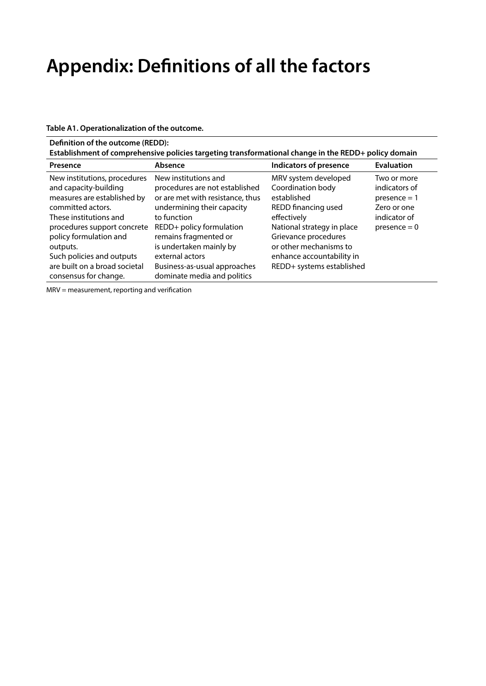# <span id="page-35-0"></span>**Appendix: Definitions of all the factors**

**Table A1. Operationalization of the outcome.**

| Definition of the outcome (REDD): |  |  |  |
|-----------------------------------|--|--|--|
|-----------------------------------|--|--|--|

|  | Establishment of comprehensive policies targeting transformational change in the REDD+ policy domain |  |
|--|------------------------------------------------------------------------------------------------------|--|
|  |                                                                                                      |  |

| Presence                                                                            | Absence                                                                        | <b>Indicators of presence</b>                          | <b>Evaluation</b> |
|-------------------------------------------------------------------------------------|--------------------------------------------------------------------------------|--------------------------------------------------------|-------------------|
| New institutions, procedures                                                        | New institutions and                                                           | MRV system developed                                   | Two or more       |
| and capacity-building                                                               | procedures are not established                                                 | Coordination body                                      | indicators of     |
| measures are established by                                                         | or are met with resistance, thus                                               | established                                            | $presence = 1$    |
| committed actors.                                                                   | undermining their capacity                                                     | REDD financing used                                    | Zero or one       |
| These institutions and                                                              | to function                                                                    | effectively                                            | indicator of      |
| procedures support concrete                                                         | REDD+ policy formulation                                                       | National strategy in place                             | $p$ resence = 0   |
| policy formulation and                                                              | remains fragmented or                                                          | Grievance procedures                                   |                   |
| outputs.                                                                            | is undertaken mainly by                                                        | or other mechanisms to                                 |                   |
| Such policies and outputs<br>are built on a broad societal<br>consensus for change. | external actors<br>Business-as-usual approaches<br>dominate media and politics | enhance accountability in<br>REDD+ systems established |                   |

MRV = measurement, reporting and verification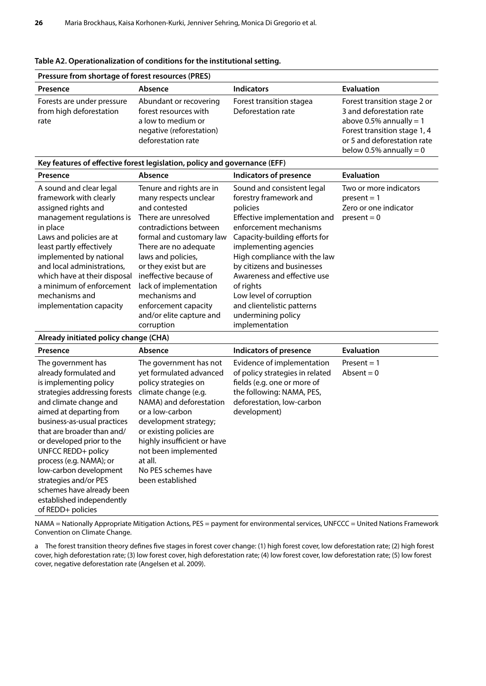| Pressure from shortage of forest resources (PRES)             |                                                                                                                         |                                                |                                                                                                                                                                                   |  |  |
|---------------------------------------------------------------|-------------------------------------------------------------------------------------------------------------------------|------------------------------------------------|-----------------------------------------------------------------------------------------------------------------------------------------------------------------------------------|--|--|
| Presence                                                      | Absence                                                                                                                 | <b>Indicators</b>                              | <b>Evaluation</b>                                                                                                                                                                 |  |  |
| Forests are under pressure<br>from high deforestation<br>rate | Abundant or recovering<br>forest resources with<br>a low to medium or<br>negative (reforestation)<br>deforestation rate | Forest transition stagea<br>Deforestation rate | Forest transition stage 2 or<br>3 and deforestation rate<br>above 0.5% annually $= 1$<br>Forest transition stage 1, 4<br>or 5 and deforestation rate<br>below 0.5% annually = $0$ |  |  |

#### <span id="page-36-0"></span>**Table A2. Operationalization of conditions for the institutional setting.**

#### **Key features of effective forest legislation, policy and governance (EFF)**

| Presence                                                                                                                                                                                                                                                                                                         | Absence                                                                                                                                                                                                                                                                                        | <b>Indicators of presence</b>                                                                                                                                                                                                                                                                                             | <b>Evaluation</b>                                                                 |
|------------------------------------------------------------------------------------------------------------------------------------------------------------------------------------------------------------------------------------------------------------------------------------------------------------------|------------------------------------------------------------------------------------------------------------------------------------------------------------------------------------------------------------------------------------------------------------------------------------------------|---------------------------------------------------------------------------------------------------------------------------------------------------------------------------------------------------------------------------------------------------------------------------------------------------------------------------|-----------------------------------------------------------------------------------|
| A sound and clear legal<br>framework with clearly<br>assigned rights and<br>management regulations is<br>in place<br>Laws and policies are at<br>least partly effectively<br>implemented by national<br>and local administrations,<br>which have at their disposal<br>a minimum of enforcement<br>mechanisms and | Tenure and rights are in<br>many respects unclear<br>and contested<br>There are unresolved<br>contradictions between<br>formal and customary law<br>There are no adequate<br>laws and policies,<br>or they exist but are<br>ineffective because of<br>lack of implementation<br>mechanisms and | Sound and consistent legal<br>forestry framework and<br>policies<br>Effective implementation and<br>enforcement mechanisms<br>Capacity-building efforts for<br>implementing agencies<br>High compliance with the law<br>by citizens and businesses<br>Awareness and effective use<br>of rights<br>Low level of corruption | Two or more indicators<br>$present = 1$<br>Zero or one indicator<br>$present = 0$ |
| implementation capacity                                                                                                                                                                                                                                                                                          | enforcement capacity<br>and/or elite capture and                                                                                                                                                                                                                                               | and clientelistic patterns<br>undermining policy                                                                                                                                                                                                                                                                          |                                                                                   |
|                                                                                                                                                                                                                                                                                                                  | corruption                                                                                                                                                                                                                                                                                     | implementation                                                                                                                                                                                                                                                                                                            |                                                                                   |

#### **Already initiated policy change (CHA)**

| Presence                                                                                                                                                                                                                                                                                                                                                                                                                                  | Absence                                                                                                                                                                                                                                                                                                           | <b>Indicators of presence</b>                                                                                                                                          | <b>Evaluation</b>             |
|-------------------------------------------------------------------------------------------------------------------------------------------------------------------------------------------------------------------------------------------------------------------------------------------------------------------------------------------------------------------------------------------------------------------------------------------|-------------------------------------------------------------------------------------------------------------------------------------------------------------------------------------------------------------------------------------------------------------------------------------------------------------------|------------------------------------------------------------------------------------------------------------------------------------------------------------------------|-------------------------------|
| The government has<br>already formulated and<br>is implementing policy<br>strategies addressing forests<br>and climate change and<br>aimed at departing from<br>business-as-usual practices<br>that are broader than and/<br>or developed prior to the<br>UNFCC REDD+ policy<br>process (e.g. NAMA); or<br>low-carbon development<br>strategies and/or PES<br>schemes have already been<br>established independently<br>of REDD+ policies | The government has not<br>yet formulated advanced<br>policy strategies on<br>climate change (e.g.<br>NAMA) and deforestation<br>or a low-carbon<br>development strategy;<br>or existing policies are<br>highly insufficient or have<br>not been implemented<br>at all.<br>No PES schemes have<br>been established | Evidence of implementation<br>of policy strategies in related<br>fields (e.g. one or more of<br>the following: NAMA, PES,<br>deforestation, low-carbon<br>development) | $Present = 1$<br>Absent $= 0$ |

NAMA = Nationally Appropriate Mitigation Actions, PES = payment for environmental services, UNFCCC = United Nations Framework Convention on Climate Change.

a The forest transition theory defines five stages in forest cover change: (1) high forest cover, low deforestation rate; (2) high forest cover, high deforestation rate; (3) low forest cover, high deforestation rate; (4) low forest cover, low deforestation rate; (5) low forest cover, negative deforestation rate (Angelsen et al. 2009).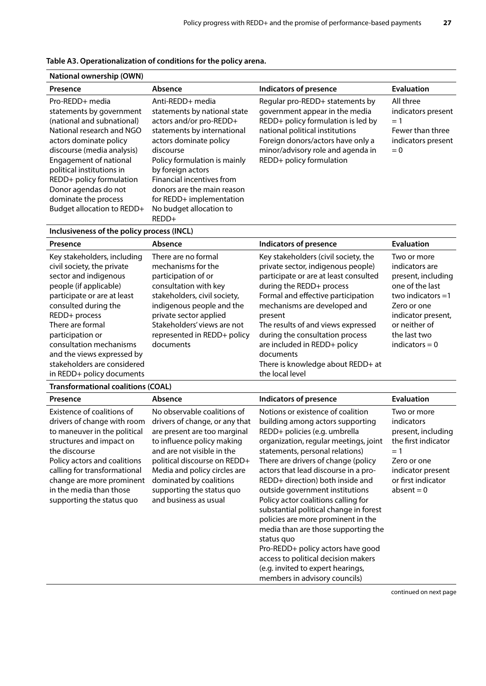| National ownership (OWN)                                                                                                                                                                                                                                                                                                        |                                                                                                                                                                                                                                                                                                                                   |                                                                                                                                                                                                                                                  |                                                                                             |  |  |
|---------------------------------------------------------------------------------------------------------------------------------------------------------------------------------------------------------------------------------------------------------------------------------------------------------------------------------|-----------------------------------------------------------------------------------------------------------------------------------------------------------------------------------------------------------------------------------------------------------------------------------------------------------------------------------|--------------------------------------------------------------------------------------------------------------------------------------------------------------------------------------------------------------------------------------------------|---------------------------------------------------------------------------------------------|--|--|
| Presence                                                                                                                                                                                                                                                                                                                        | Absence                                                                                                                                                                                                                                                                                                                           | <b>Indicators of presence</b>                                                                                                                                                                                                                    | <b>Evaluation</b>                                                                           |  |  |
| Pro-REDD+ media<br>statements by government<br>(national and subnational)<br>National research and NGO<br>actors dominate policy<br>discourse (media analysis)<br>Engagement of national<br>political institutions in<br>REDD+ policy formulation<br>Donor agendas do not<br>dominate the process<br>Budget allocation to REDD+ | Anti-REDD+ media<br>statements by national state<br>actors and/or pro-REDD+<br>statements by international<br>actors dominate policy<br>discourse<br>Policy formulation is mainly<br>by foreign actors<br>Financial incentives from<br>donors are the main reason<br>for REDD+ implementation<br>No budget allocation to<br>REDD+ | Regular pro-REDD+ statements by<br>government appear in the media<br>REDD+ policy formulation is led by<br>national political institutions<br>Foreign donors/actors have only a<br>minor/advisory role and agenda in<br>REDD+ policy formulation | All three<br>indicators present<br>$= 1$<br>Fewer than three<br>indicators present<br>$= 0$ |  |  |

### <span id="page-37-0"></span>**Table A3. Operationalization of conditions for the policy arena.**

### **Inclusiveness of the policy process (INCL)**

| Presence                                                                                                                                                                                                                                                                                                                                          | Absence                                                                                                                                                                                                                                                     | <b>Indicators of presence</b>                                                                                                                                                                                                                                                                                                                                                                                  | <b>Evaluation</b>                                                                                                                                                                       |
|---------------------------------------------------------------------------------------------------------------------------------------------------------------------------------------------------------------------------------------------------------------------------------------------------------------------------------------------------|-------------------------------------------------------------------------------------------------------------------------------------------------------------------------------------------------------------------------------------------------------------|----------------------------------------------------------------------------------------------------------------------------------------------------------------------------------------------------------------------------------------------------------------------------------------------------------------------------------------------------------------------------------------------------------------|-----------------------------------------------------------------------------------------------------------------------------------------------------------------------------------------|
| Key stakeholders, including<br>civil society, the private<br>sector and indigenous<br>people (if applicable)<br>participate or are at least<br>consulted during the<br>REDD+ process<br>There are formal<br>participation or<br>consultation mechanisms<br>and the views expressed by<br>stakeholders are considered<br>in REDD+ policy documents | There are no formal<br>mechanisms for the<br>participation of or<br>consultation with key<br>stakeholders, civil society,<br>indigenous people and the<br>private sector applied<br>Stakeholders' views are not<br>represented in REDD+ policy<br>documents | Key stakeholders (civil society, the<br>private sector, indigenous people)<br>participate or are at least consulted<br>during the REDD+ process<br>Formal and effective participation<br>mechanisms are developed and<br>present<br>The results of and views expressed<br>during the consultation process<br>are included in REDD+ policy<br>documents<br>There is knowledge about REDD+ at<br>the local level | Two or more<br>indicators are<br>present, including<br>one of the last<br>two indicators $=1$<br>Zero or one<br>indicator present,<br>or neither of<br>the last two<br>indicators $= 0$ |

### **Transformational coalitions (COAL)**

| Presence                                                                                                                                                                                                                                                                                    | Absence                                                                                                                                                                                                                                                                                                    | <b>Indicators of presence</b>                                                                                                                                                                                                                                                                                                                                                                                                                                                                                                                                                                                                                                          | <b>Evaluation</b>                                                                                                                                         |
|---------------------------------------------------------------------------------------------------------------------------------------------------------------------------------------------------------------------------------------------------------------------------------------------|------------------------------------------------------------------------------------------------------------------------------------------------------------------------------------------------------------------------------------------------------------------------------------------------------------|------------------------------------------------------------------------------------------------------------------------------------------------------------------------------------------------------------------------------------------------------------------------------------------------------------------------------------------------------------------------------------------------------------------------------------------------------------------------------------------------------------------------------------------------------------------------------------------------------------------------------------------------------------------------|-----------------------------------------------------------------------------------------------------------------------------------------------------------|
| Existence of coalitions of<br>drivers of change with room<br>to maneuver in the political<br>structures and impact on<br>the discourse<br>Policy actors and coalitions<br>calling for transformational<br>change are more prominent<br>in the media than those<br>supporting the status quo | No observable coalitions of<br>drivers of change, or any that<br>are present are too marginal<br>to influence policy making<br>and are not visible in the<br>political discourse on REDD+<br>Media and policy circles are<br>dominated by coalitions<br>supporting the status quo<br>and business as usual | Notions or existence of coalition<br>building among actors supporting<br>REDD+ policies (e.g. umbrella<br>organization, regular meetings, joint<br>statements, personal relations)<br>There are drivers of change (policy<br>actors that lead discourse in a pro-<br>REDD+ direction) both inside and<br>outside government institutions<br>Policy actor coalitions calling for<br>substantial political change in forest<br>policies are more prominent in the<br>media than are those supporting the<br>status quo<br>Pro-REDD+ policy actors have good<br>access to political decision makers<br>(e.g. invited to expert hearings,<br>members in advisory councils) | Two or more<br>indicators<br>present, including<br>the first indicator<br>$= 1$<br>Zero or one<br>indicator present<br>or first indicator<br>$absent = 0$ |

continued on next page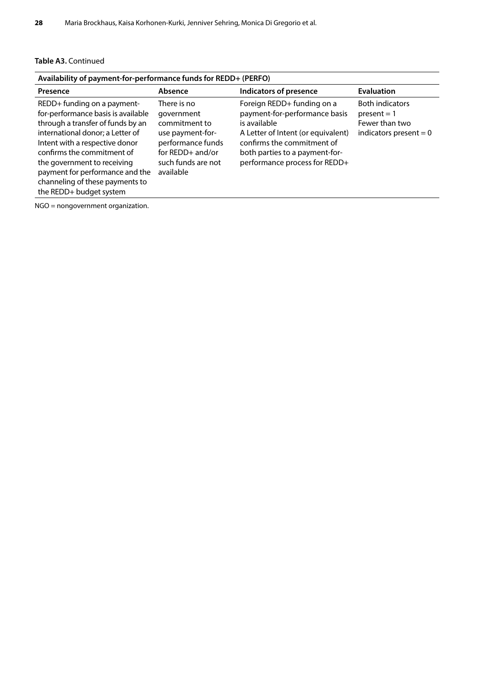### **Table A3.** Continued

| Availability of payment-for-performance funds for REDD+ (PERFO)                                                                                                                                                                                                                                                                            |                                                                                                                                              |                                                                                                                                                                                                                    |                                                                                       |  |  |
|--------------------------------------------------------------------------------------------------------------------------------------------------------------------------------------------------------------------------------------------------------------------------------------------------------------------------------------------|----------------------------------------------------------------------------------------------------------------------------------------------|--------------------------------------------------------------------------------------------------------------------------------------------------------------------------------------------------------------------|---------------------------------------------------------------------------------------|--|--|
| Presence                                                                                                                                                                                                                                                                                                                                   | Absence                                                                                                                                      | <b>Indicators of presence</b>                                                                                                                                                                                      | <b>Evaluation</b>                                                                     |  |  |
| REDD+ funding on a payment-<br>for-performance basis is available<br>through a transfer of funds by an<br>international donor; a Letter of<br>Intent with a respective donor<br>confirms the commitment of<br>the government to receiving<br>payment for performance and the<br>channeling of these payments to<br>the REDD+ budget system | There is no<br>government<br>commitment to<br>use payment-for-<br>performance funds<br>for $REDD+$ and/or<br>such funds are not<br>available | Foreign REDD+ funding on a<br>payment-for-performance basis<br>is available<br>A Letter of Intent (or equivalent)<br>confirms the commitment of<br>both parties to a payment-for-<br>performance process for REDD+ | <b>Both indicators</b><br>$present = 1$<br>Fewer than two<br>indicators present $= 0$ |  |  |

NGO = nongovernment organization.